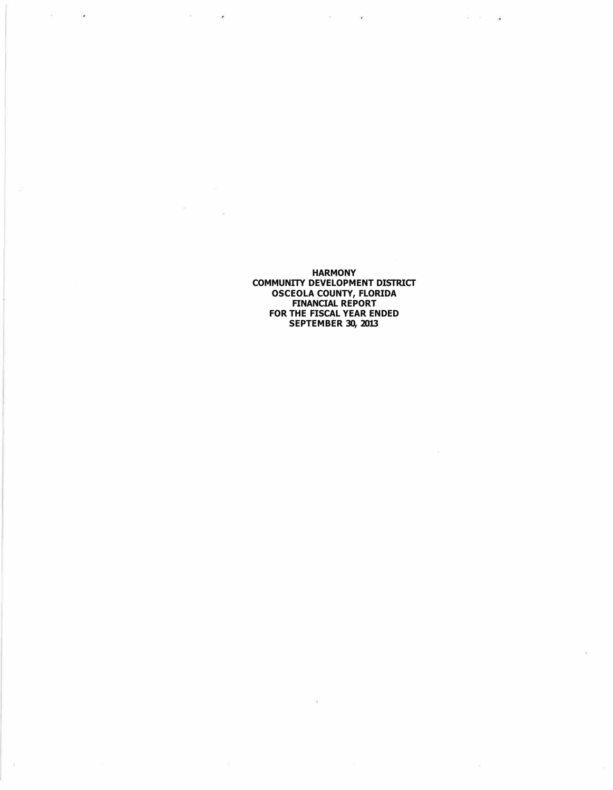**HARMONY COMMUNITY DEVELOPMENT DISTRICT OSCEOLA COUNTY, FLORIDA FINANCIAL REPORT FOR THE FISCAL YEAR ENDED SEPTEMBER 30, 2013** 

 $\sim$ 

 $\kappa=-\pi$ 

 $\overline{z}$  ,  $\overline{z}$  ,  $\overline{z}$ 

85.00

 $\sim$ 

 $\sim$ 

 $\sim$   $\sim$ 

 $\dot{\mathbf{y}}$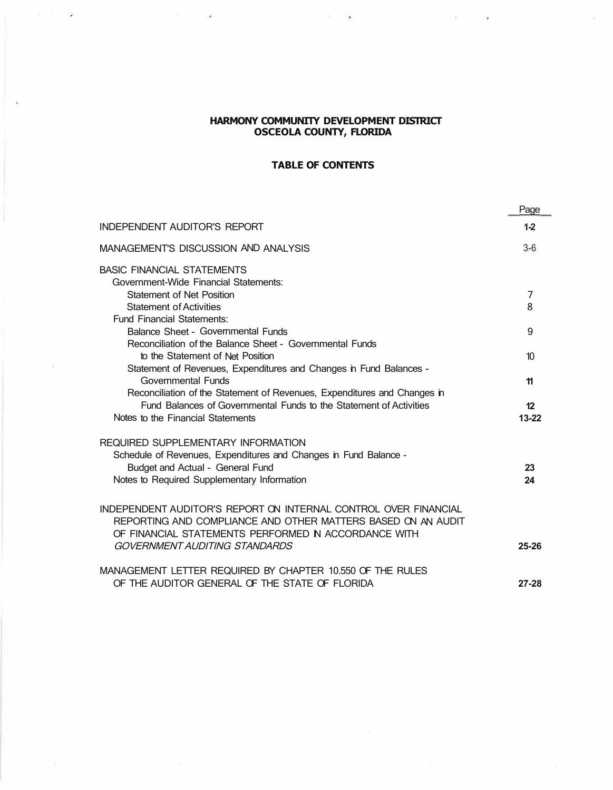# **HARMONY COMMUNITY DEVELOPMENT DISTRICT OSCEOLA COUNTY, FLORIDA**

 $\mathbb{R}^n$  ,  $\mathbb{R}^n$  ,  $\mathbb{R}^n$  , and

 $\overline{c}$  ,  $\overline{a}$ 

 $\omega = 1$  .  $\omega$ 

 $\mathcal{L} = \{ \mathcal{L} \}$  .

# **TABLE OF CONTENTS**

|                                                                                                             | Page      |
|-------------------------------------------------------------------------------------------------------------|-----------|
| <b>INDEPENDENT AUDITOR'S REPORT</b>                                                                         | $1-2$     |
| <b>MANAGEMENT'S DISCUSSION AND ANALYSIS</b>                                                                 | $3-6$     |
| <b>BASIC FINANCIAL STATEMENTS</b>                                                                           |           |
| <b>Government-Wide Financial Statements:</b><br>Statement of Net Position                                   | 7         |
| <b>Statement of Activities</b>                                                                              | 8         |
| Fund Financial Statements:                                                                                  |           |
| Balance Sheet - Governmental Funds                                                                          | 9         |
| Reconciliation of the Balance Sheet - Governmental Funds                                                    |           |
| to the Statement of Net Position                                                                            | $10^{-}$  |
| Statement of Revenues, Expenditures and Changes in Fund Balances -<br>Governmental Funds                    | 11        |
| Reconciliation of the Statement of Revenues, Expenditures and Changes in                                    |           |
| Fund Balances of Governmental Funds to the Statement of Activities                                          | 12        |
| Notes to the Financial Statements                                                                           | $13 - 22$ |
|                                                                                                             |           |
| <b>REQUIRED SUPPLEMENTARY INFORMATION</b>                                                                   |           |
| Schedule of Revenues, Expenditures and Changes in Fund Balance -<br>Budget and Actual - General Fund        | 23        |
| Notes to Required Supplementary Information                                                                 | 24        |
|                                                                                                             |           |
| INDEPENDENT AUDITOR'S REPORT ON INTERNAL CONTROL OVER FINANCIAL                                             |           |
| REPORTING AND COMPLIANCE AND OTHER MATTERS BASED ON AN AUDIT                                                |           |
| OF FINANCIAL STATEMENTS PERFORMED N ACCORDANCE WITH                                                         |           |
| GOVERNMENT AUDITING STANDARDS                                                                               | $25 - 26$ |
|                                                                                                             |           |
| MANAGEMENT LETTER REQUIRED BY CHAPTER 10.550 OF THE RULES<br>OF THE AUDITOR GENERAL OF THE STATE OF FLORIDA |           |
|                                                                                                             | $27 - 28$ |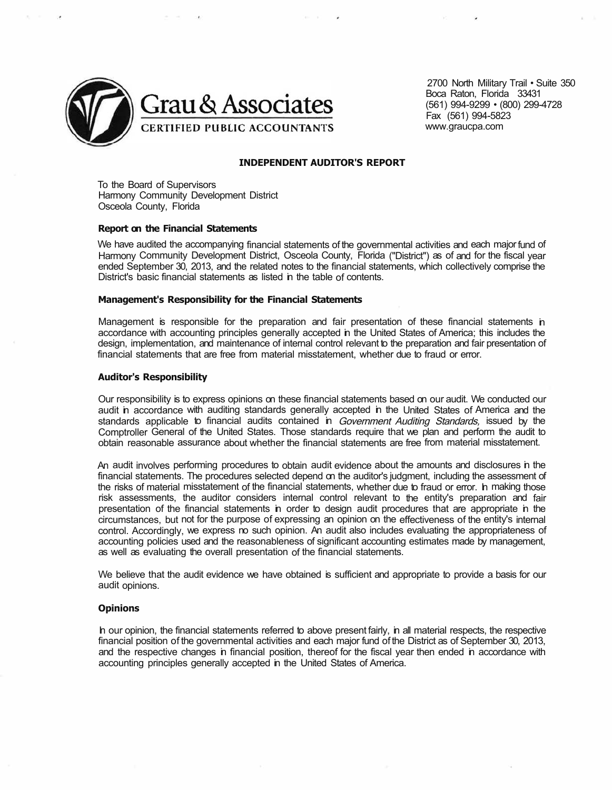

2700 North Military Trail • Suite 350 Boca Raton, Florida 33431 (561) 994-9299 • (800) 299-4728 Fax (561) 994-5823 www.graucpa.com

## **INDEPENDENT AUDITOR'S REPORT**

To the Board of Supervisors Harmony Community Development District Osceola County, Florida

### **Report on the Financial Statements**

We have audited the accompanying financial statements of the governmental activities and each major fund of Harmony Community Development District, Osceola County, Florida ("District") as of and for the fiscal year ended September 30, 2013, and the related notes to the financial statements, which collectively comprise the District's basic financial statements as listed in the table of contents.

#### **Management's Responsibility for the Financial Statements**

Management is responsible for the preparation and fair presentation of these financial statements in accordance with accounting principles generally accepted in the United States of America; this includes the design, implementation, and maintenance of internal control relevant to the preparation and fair presentation of financial statements that are free from material misstatement, whether due to fraud or error.

# **Auditor's Responsibility**

Our responsibility is to express opinions on these financial statements based on our audit. We conducted our audit in accordance with auditing standards generally accepted in the United States of America and the standards applicable to financial audits contained in Government Auditing Standards, issued by the Comptroller General of the United States. Those standards require that we plan and perform the audit to obtain reasonable assurance about whether the financial statements are free from material misstatement.

An audit involves performing procedures to obtain audit evidence about the amounts and disclosures in the financial statements. The procedures selected depend on the auditor's judgment, including the assessment of the risks of material misstatement of the financial statements, whether due to fraud or error. In making those risk assessments, the auditor considers internal control relevant to the entity's preparation and fair presentation of the financial statements in order to design audit procedures that are appropriate in the circumstances, but not for the purpose of expressing an opinion on the effectiveness of the entity's internal control. Accordingly, we express no such opinion. An audit also includes evaluating the appropriateness of accounting policies used and the reasonableness of significant accounting estimates made by management, as well as evaluating the overall presentation of the financial statements.

We believe that the audit evidence we have obtained is sufficient and appropriate to provide a basis for our audit opinions.

### **Opinions**

In our opinion, the financial statements referred to above present fairly, in all material respects, the respective financial position of the governmental activities and each major fund of the District as of September 30, 2013, and the respective changes in financial position, thereof for the fiscal year then ended in accordance with accounting principles generally accepted in the United States of America.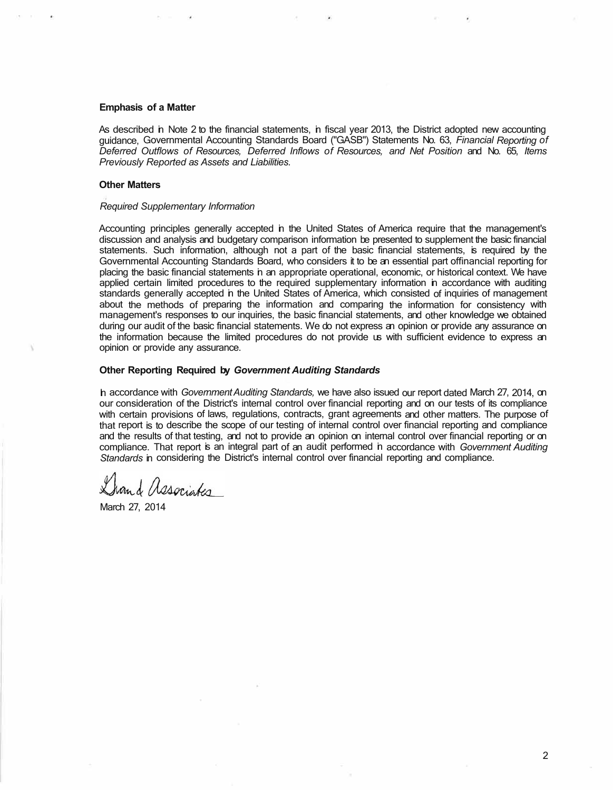### **Emphasis of a Matter**

As described in Note 2 to the financial statements, in fiscal year 2013, the District adopted new accounting guidance, Governmental Accounting Standards Board ("GASB") Statements No. 63, *Financial Reporting of Deferred Outflows of Resources, Deferred Inflows of Resources, and Net Position* and No. 65, *Items Previously Reported as Assets and Liabilities.* 

### **Other Matters**

### *Required Supplementary Information*

Accounting principles generally accepted in the United States of America require that the management's discussion and analysis and budgetary comparison information be presented to supplement the basic financial statements. Such information, although not a part of the basic financial statements, is required by the Governmental Accounting Standards Board, who considers it to be an essential part offinancial reporting for placing the basic financial statements in an appropriate operational, economic, or historical context. We have applied certain limited procedures to the required supplementary information in accordance with auditing standards generally accepted in the United States of America, which consisted of inquiries of management about the methods of preparing the information and comparing the information for consistency with management's responses to our inquiries, the basic financial statements, and other knowledge we obtained during our audit of the basic financial statements. We do not express an opinion or provide any assurance on the information because the limited procedures do not provide us with sufficient evidence to express an opinion or provide any assurance.

### **Other Reporting Required by** *Government Auditing Standards*

In accordance with *Government Auditing Standards,* we have also issued our report dated March 27, 2014, on our consideration of the District's internal control over financial reporting and on our tests of its compliance with certain provisions of laws, regulations, contracts, grant agreements and other matters. The purpose of that report is to describe the scope of our testing of internal control over financial reporting and compliance and the results of that testing, and not to provide an opinion on internal control over financial reporting or on compliance. That report is an integral part of an audit performed in accordance with *Government Auditing Standards* in considering the District's internal control over financial reporting and compliance.

and Associates

March 27, 2014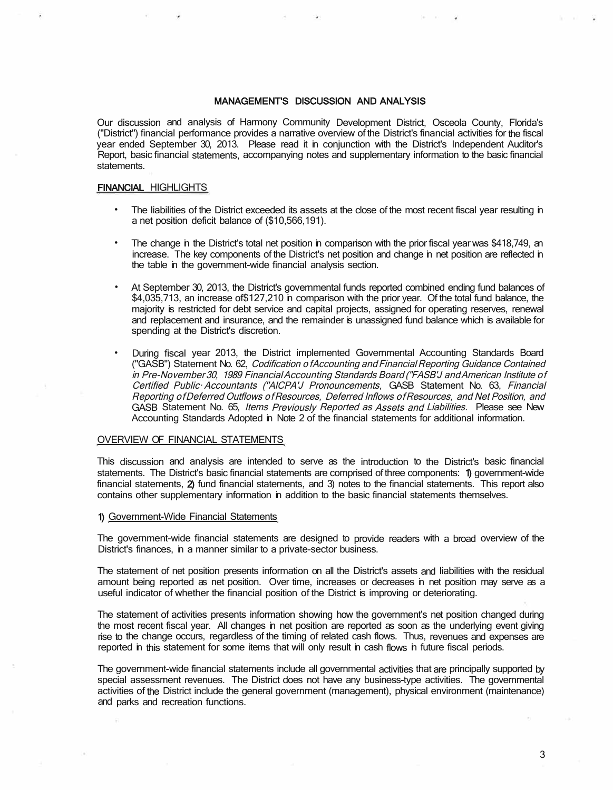# MANAGEMENT'S DISCUSSION AND ANALYSIS

Our discussion and analysis of Harmony Community Development District, Osceola County, Florida's ("District") financial performance provides a narrative overview of the District's financial activities for the fiscal year ended September 30, 2013. Please read it in conjunction with the District's Independent Auditor's Report, basic financial statements, accompanying notes and supplementary information to the basic financial statements.

### FINANCIAL HIGHLIGHTS

- The liabilities of the District exceeded its assets at the close of the most recent fiscal year resulting in a net position deficit balance of (\$10,566,191).
- The change in the District's total net position in comparison with the prior fiscal year was \$418,749, an increase. The key components of the District's net position and change in net position are reflected in the table in the government-wide financial analysis section.
- At September 30, 2013, the District's governmental funds reported combined ending fund balances of \$4,035,713, an increase of\$127,210 in comparison with the prior year. Of the total fund balance, the majority is restricted for debt service and capital projects, assigned for operating reserves, renewal and replacement and insurance, and the remainder is unassigned fund balance which is available for spending at the District's discretion.
- During fiscal year 2013, the District implemented Governmental Accounting Standards Board ("GASB") Statement No. 62, Codification of Accounting and Financial Reporting Guidance Contained in Pre-November 30, 1989 Financial Accounting Standards Board ("FASB'J and American Institute of Certified Public· Accountants (''AICPA'J Pronouncements, GASB Statement No. 63, Financial Reporting of Deferred Outflows of Resources, Deferred Inflows of Resources, and Net Position, and GASB Statement No. 65, Items Previously Reported as Assets and Liabilities. Please see New Accounting Standards Adopted in Note 2 of the financial statements for additional information.

## OVERVIEW OF FINANCIAL STATEMENTS

This discussion and analysis are intended to serve as the introduction to the District's basic financial statements. The District's basic financial statements are comprised of three components: 1) government-wide financial statements, 2) fund financial statements, and 3) notes to the financial statements. This report also contains other supplementary information in addition to the basic financial statements themselves.

#### 1) Government-Wide Financial Statements

The government-wide financial statements are designed to provide readers with a broad overview of the District's finances, in a manner similar to a private-sector business.

The statement of net position presents information on all the District's assets and liabilities with the residual amount being reported as net position. Over time, increases or decreases in net position may serve as a useful indicator of whether the financial position of the District is improving or deteriorating.

The statement of activities presents information showing how the government's net position changed during the most recent fiscal year. All changes in net position are reported as soon as the underlying event giving rise to the change occurs, regardless of the timing of related cash flows. Thus, revenues and expenses are reported in this statement for some items that will only result in cash flows in future fiscal periods.

The government-wide financial statements include all governmental activities that are principally supported by special assessment revenues. The District does not have any business-type activities. The governmental activities of the District include the general government (management), physical environment (maintenance) and parks and recreation functions.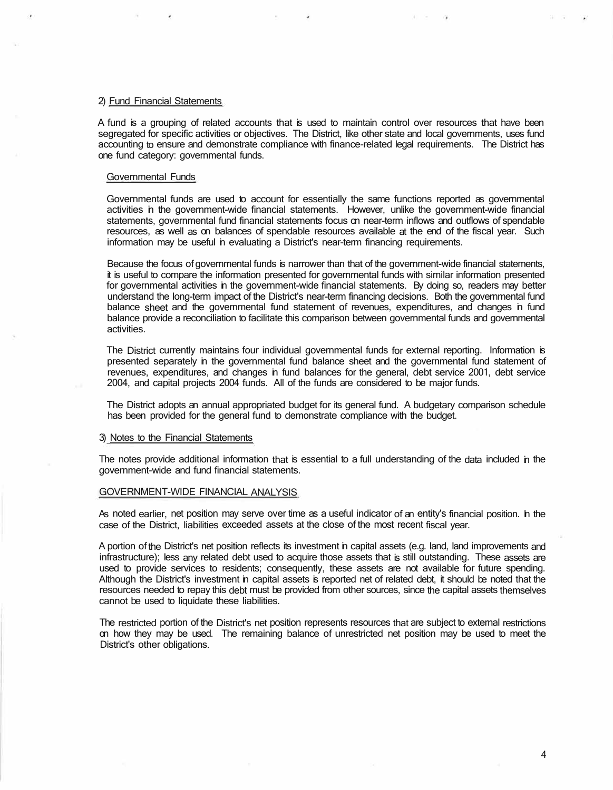### 2) Fund Financial Statements

A fund is a grouping of related accounts that is used to maintain control over resources that have been segregated for specific activities or objectives. The District, like other state and local governments, uses fund accounting to ensure and demonstrate compliance with finance-related legal requirements. The District has one fund category: governmental funds.

### Governmental Funds

Governmental funds are used to account for essentially the same functions reported as governmental activities in the government-wide financial statements. However, unlike the government-wide financial statements, governmental fund financial statements focus on near-term inflows and outflows of spendable resources, as well as on balances of spendable resources available at the end of the fiscal year. Such information may be useful in evaluating a District's near-term financing requirements.

Because the focus of governmental funds is narrower than that of the government-wide financial statements, it is useful to compare the information presented for governmental funds with similar information presented for governmental activities in the government-wide financial statements. By doing so, readers may better understand the long-term impact of the District's near-term financing decisions. Both the governmental fund balance sheet and the governmental fund statement of revenues, expenditures, and changes in fund balance provide a reconciliation to facilitate this comparison between governmental funds and governmental activities.

The District currently maintains four individual governmental funds for external reporting. Information is presented separately in the governmental fund balance sheet and the governmental fund statement of revenues, expenditures, and changes in fund balances for the general, debt service 2001, debt service 2004, and capital projects 2004 funds. All of the funds are considered to be major funds.

The District adopts an annual appropriated budget for its general fund. A budgetary comparison schedule has been provided for the general fund to demonstrate compliance with the budget.

#### 3) Notes to the Financial Statements

The notes provide additional information that is essential to a full understanding of the data included in the government-wide and fund financial statements.

### GOVERNMENT-WIDE FINANCIAL ANALYSIS

As noted earlier, net position may serve over time as a useful indicator of an entity's financial position. In the case of the District, liabilities exceeded assets at the close of the most recent fiscal year.

A portion of the District's net position reflects its investment in capital assets (e.g. land, land improvements and infrastructure); less any related debt used to acquire those assets that is still outstanding. These assets are used to provide services to residents; consequently, these assets are not available for future spending. Although the District's investment in capital assets is reported net of related debt, it should be noted that the resources needed to repay this debt must be provided from other sources, since the capital assets themselves cannot be used to liquidate these liabilities.

The restricted portion of the District's net position represents resources that are subject to external restrictions on how they may be used. The remaining balance of unrestricted net position may be used to meet the District's other obligations.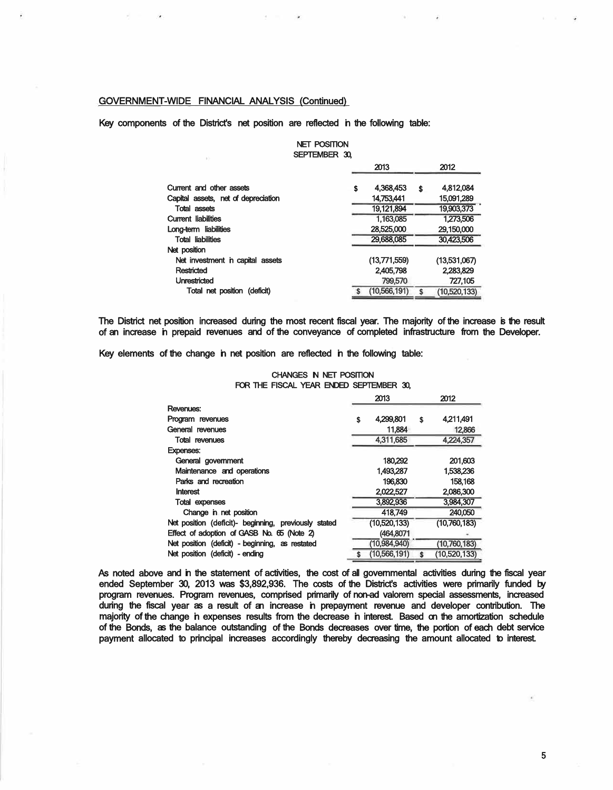# GOVERNMENT-WIDE FINANCIAL ANALYSIS (Continued)

Key components of the District's net position are reflected in the following table:

| 2013            | 2012            |
|-----------------|-----------------|
| \$<br>4,368,453 | \$<br>4,812,084 |
| 14,753,441      | 15,091,289      |
| 19.121.894      | 19,903,373      |
| 1,163,085       | 1,273,506       |
| 28,525,000      | 29,150,000      |
| 29,688,085      | 30,423,506      |
|                 |                 |
| (13,771,559)    | (13,531,067)    |
| 2,405,798       | 2,283,829       |
| 799,570         | 727,105         |
| (10,566,191)    | (10,520,133)    |
| SEPTEMBER 30    |                 |

NET POSITION

The District net position increased during the most recent fiscal year. The majority of the increase is the result of an increase in prepaid revenues and of the conveyance of completed infrastructure from the Developer.

Key elements of the change in net position are reflected in the following table:

### CHANGES IN NET POSITION FOR THE FISCAL YEAR ENDED SEPTEMBER 30,

|                                                      | 2013            | 2012 |              |  |
|------------------------------------------------------|-----------------|------|--------------|--|
| Revenues:                                            |                 |      |              |  |
| Program revenues                                     | \$<br>4,299,801 | \$   | 4,211,491    |  |
| General revenues                                     | 11,884          |      | 12,866       |  |
| <b>Total revenues</b>                                | 4,311,685       |      | 4,224,357    |  |
| <b>Expenses:</b>                                     |                 |      |              |  |
| General government                                   | 180,292         |      | 201,603      |  |
| Maintenance and operations                           | 1,493,287       |      | 1,538,236    |  |
| Parks and recreation                                 | 196.830         |      | 158.168      |  |
| <b>Interest</b>                                      | 2,022,527       |      | 2,086,300    |  |
| <b>Total expenses</b>                                | 3,892,936       |      | 3,984,307    |  |
| Change in net position                               | 418,749         |      | 240,050      |  |
| Net position (deficit)- beginning, previously stated | (10,520,133)    |      | (10,760,183) |  |
| Effect of adoption of GASB No. 65 (Note 2)           | (464,8071       |      |              |  |
| Net position (deficit) - beginning, as restated      | (10,984,940)    |      | (10,760,183) |  |
| Net position (deficit) - ending                      | (10,566,191)    |      | (10,520,133) |  |
|                                                      |                 |      |              |  |

As noted above and in the statement of activities, the cost of all governmental activities during the fiscal year ended September 30, 2013 was \$3,892,936. The costs of the District's activities were primarily funded by program revenues. Program revenues, comprised primarily of non-ad valorem special assessments, increased during the fiscal year as a result of an increase in prepayment revenue and developer contribution. The majority of the change in expenses results from the decrease in interest. Based on the amortization schedule of the Bonds, as the balance outstanding of the Bonds decreases over time, the portion of each debt service payment allocated to principal increases accordingly thereby decreasing the amount allocated to interest.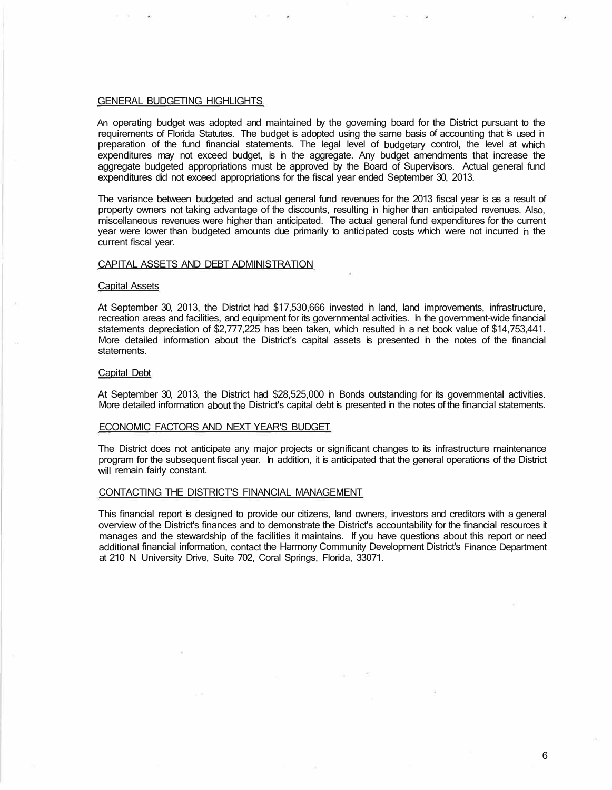#### GENERAL BUDGETING HIGHLIGHTS

An operating budget was adopted and maintained by the governing board for the District pursuant to the requirements of Florida Statutes. The budget is adopted using the same basis of accounting that is used in preparation of the fund financial statements. The legal level of budgetary control, the level at which expenditures may not exceed budget, is in the aggregate. Any budget amendments that increase the aggregate budgeted appropriations must be approved by the Board of Supervisors. Actual general fund expenditures did not exceed appropriations for the fiscal year ended September 30, 2013.

The variance between budgeted and actual general fund revenues for the 2013 fiscal year is as a result of property owners not taking advantage of the discounts, resulting in higher than anticipated revenues. Also, miscellaneous revenues were higher than anticipated. The actual general fund expenditures for the current year were lower than budgeted amounts due primarily to anticipated costs which were not incurred in the current fiscal year.

### CAPITAL ASSETS AND DEBT ADMINISTRATION

#### Capital Assets

At September 30, 2013, the District had \$17,530,666 invested in land, land improvements, infrastructure, recreation areas and facilities, and equipment for its governmental activities. In the government-wide financial statements depreciation of \$2,777,225 has been taken, which resulted in a net book value of \$14,753,441. More detailed information about the District's capital assets is presented in the notes of the financial statements.

### Capital Debt

At September 30, 2013, the District had \$28,525,000 in Bonds outstanding for its governmental activities. More detailed information about the District's capital debt is presented in the notes of the financial statements.

### ECONOMIC FACTORS AND NEXT YEAR'S BUDGET

The District does not anticipate any major projects or significant changes to its infrastructure maintenance program for the subsequent fiscal year. In addition, it is anticipated that the general operations of the District will remain fairly constant.

#### CONTACTING THE DISTRICT'S FINANCIAL MANAGEMENT

This financial report is designed to provide our citizens, land owners, investors and creditors with a general overview of the District's finances and to demonstrate the District's accountability for the financial resources it manages and the stewardship of the facilities it maintains. If you have questions about this report or need additional financial information, contact the Harmony Community Development District's Finance Department at 210 N. University Drive, Suite 702, Coral Springs, Florida, 33071.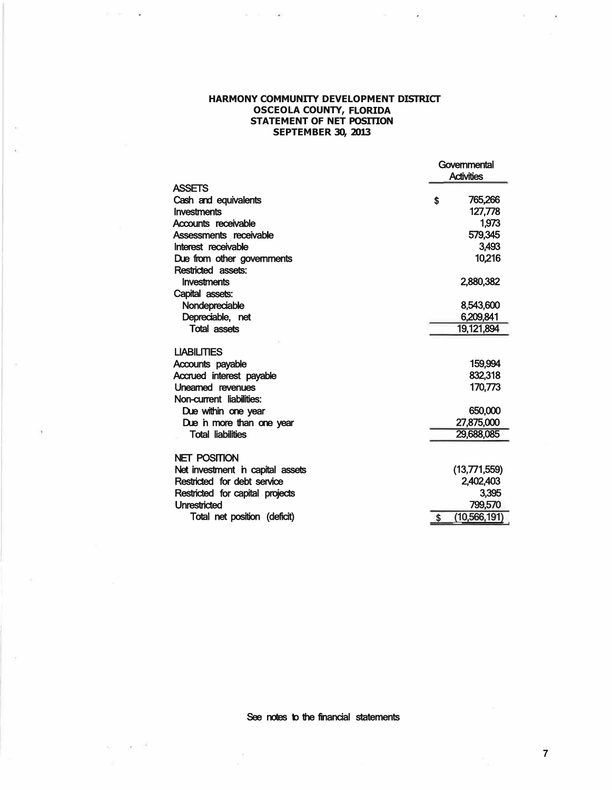# **HARMONY COMMUNITY DEVELOPMENT DISTRICT OSCEOLA COUNTY, FLORIDA STATEMENT OF NET POSITION SEPTEMBER 30, 2013**

 $\ddot{\phantom{0}}$ 

 $\lambda = -1$ 

 $\bullet$ 

 $\mathbb{C}$  ,  $\mathbb{R}$  ,  $\mathbb{C}$ 

 $a = -a$  (8)

|                                  | Governmental<br><b>Activities</b> |
|----------------------------------|-----------------------------------|
| <b>ASSETS</b>                    |                                   |
| Cash and equivalents             | 765,266<br>\$                     |
| Investments                      | 127,778                           |
| Accounts receivable              | 1,973                             |
| Assessments receivable           | 579,345                           |
| Interest receivable              | 3,493                             |
| Due from other governments       | 10,216                            |
| Restricted assets:               |                                   |
| Investments                      | 2,880,382                         |
| Capital assets:                  |                                   |
| Nondepreciable                   | 8,543,600                         |
| Depreciable, net                 | 6,209,841                         |
| <b>Total assets</b>              | 19,121,894                        |
|                                  |                                   |
| <b>LIABILITIES</b>               |                                   |
| Accounts payable                 | 159,994                           |
| Accrued interest payable         | 832,318                           |
| Uneamed revenues                 | 170,773                           |
| Non-current liabilities:         |                                   |
| Due within one year              | 650,000                           |
| Due in more than one year        | 27,875,000                        |
| <b>Total liabilities</b>         | 29,688,085                        |
| <b>NET POSITION</b>              |                                   |
| Net investment in capital assets | (13,771,559)                      |
| Restricted for debt service      | 2,402,403                         |
| Restricted for capital projects  | 3,395                             |
| <b>Unrestricted</b>              | 799,570                           |
| Total net position (deficit)     | (10,566,191)<br>\$                |
|                                  |                                   |

See notes to the financial statements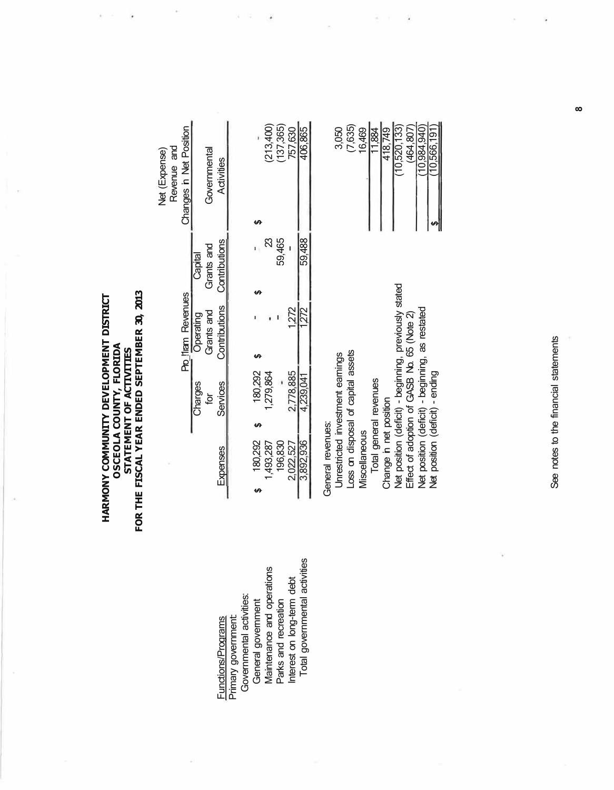STATEMENT OF ACTIVITIES<br>FOR THE FISCAL YEAR ENDED SEPTEMBER 30, 2013 **FOR THE FISCAL YEAR ENDED SEPTEMBER 30, 2013**  HARMONY COMMUNITY DEVELOPMENT DISTRICT<br>OSCEOLA COUNTY, FLORIDA **HARMONY COMMUNITY DEVELOPMENT DISTRICT OSCEOLA COUNTY, FLORIDA STATEMENT OF ACTIVITIES** 

j,

|                                            |                        |                                                       |                    |               | Net (Expense)           |
|--------------------------------------------|------------------------|-------------------------------------------------------|--------------------|---------------|-------------------------|
|                                            |                        |                                                       |                    |               | Revenue and             |
|                                            |                        |                                                       | Pro Itlam Revenues |               | Changes in Net Position |
|                                            |                        | Charges                                               | Operating          | Capital       |                         |
|                                            |                        | đ                                                     | Grants and         | Grants and    | Governmental            |
| ctions/Programs                            | Expenses               | Services                                              | Contributions      | Contributions | Activities              |
| overnmental activities:<br>ary government: |                        |                                                       |                    |               |                         |
| General government                         | 180,292                | 180,292                                               |                    |               |                         |
| Maintenance and operations                 | 1,493,287              | ,279,864                                              |                    | ಣ             | (213, 400)              |
| Parks and recreation                       | 196,830                |                                                       |                    | 59,465        | 137,365)                |
| nterest on long-term debt                  | 2,022,527              | 2.778,885                                             | 1,272              |               | 757,630                 |
| Total governmental activities              | 3,892,936              | 4.239,041                                             | 272                | 59.488        | 406,865                 |
|                                            | General revenues:      |                                                       |                    |               |                         |
|                                            |                        | Jnrestricted investment earnings                      |                    |               | 3,050                   |
|                                            |                        | Loss on disposal of capital assets                    |                    |               | (7,635)                 |
|                                            | Miscellaneous          |                                                       |                    |               | 16,469                  |
|                                            |                        | Total general revenues                                |                    |               | 11,884                  |
|                                            | Change in net position |                                                       |                    |               | 418,749                 |
|                                            |                        | Net position (deficit) - beginning, previously stated |                    |               | (10,520,133)            |
|                                            |                        | Effect of adoption of GASB No. 65 (Note 2)            |                    |               | 464.807)                |
|                                            |                        | Net position (deficit) - beginning, as restated       |                    |               | (10.984.940)            |
|                                            |                        | Net position (deficit) - ending                       |                    |               | 10,566,191)             |

Functions/Programs Primary government: Governmental activities: General government

Primary government: **Functions/Programs** 

Governmental activities: General government See notes to the financial statements See notes to the financial statements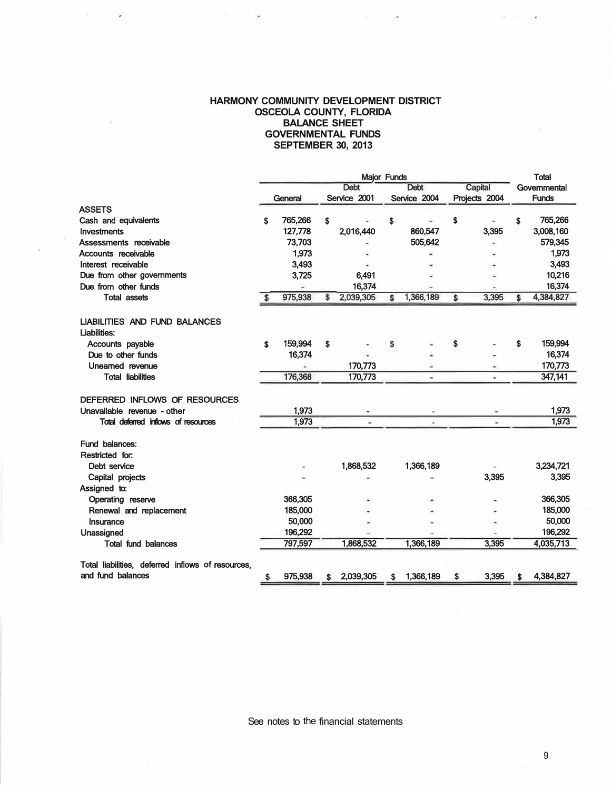# **HARMONY COMMUNITY DEVELOPMENT DISTRICT OSCEOLA COUNTY, FLORIDA BALANCE SHEET GOVERNMENTAL FUNDS SEPTEMBER 30, 2013**

 $\mathcal{O}(\mathcal{O}_\mathcal{O})$  . The set of  $\mathcal{O}(\mathcal{O}_\mathcal{O})$ 

 $\mathcal{M}_1$  ,  $\mathcal{M}_2$  ,  $\mathcal{M}_3$ 

 $\lambda$  ,  $\lambda$ 

 $\mathbb{R}^n \times \mathbb{R}^n \to \mathbb{R}^n$ 

w.

 $\psi$  (

|                                                      | <b>Major Funds</b> |         |    |              |                        |              | <b>Total</b> |               |              |              |
|------------------------------------------------------|--------------------|---------|----|--------------|------------------------|--------------|--------------|---------------|--------------|--------------|
|                                                      |                    |         |    | Debt         | Capital<br><b>Debt</b> |              |              |               | Governmental |              |
|                                                      |                    | General |    | Service 2001 |                        | Service 2004 |              | Projects 2004 |              | <b>Funds</b> |
| <b>ASSETS</b>                                        |                    |         |    |              |                        |              |              |               |              |              |
| Cash and equivalents                                 | \$                 | 765,266 | \$ |              | \$                     |              | \$           |               | \$           | 765,266      |
| Investments                                          |                    | 127,778 |    | 2,016,440    |                        | 860,547      |              | 3,395         |              | 3,008,160    |
| Assessments receivable                               |                    | 73,703  |    |              |                        | 505,642      |              |               |              | 579,345      |
| Accounts receivable                                  |                    | 1,973   |    |              |                        |              |              |               |              | 1,973        |
| Interest receivable                                  |                    | 3,493   |    |              |                        |              |              |               |              | 3,493        |
| Due from other governments                           |                    | 3,725   |    | 6,491        |                        |              |              |               |              | 10,216       |
| Due from other funds                                 |                    | ۰       |    | 16,374       |                        |              |              |               |              | 16,374       |
| <b>Total assets</b>                                  | ቁ                  | 975,938 | \$ | 2,039,305    | \$                     | 1,366,189    | \$           | 3,395         | $\mathbf{s}$ | 4,384,827    |
| <b>LIABILITIES AND FUND BALANCES</b><br>Liabilities: |                    |         |    |              |                        |              |              |               |              |              |
| Accounts payable                                     | \$                 | 159,994 | \$ |              | \$                     |              | \$           |               | \$           | 159,994      |
| Due to other funds                                   |                    | 16,374  |    |              |                        |              |              |               |              | 16,374       |
| Uneamed revenue                                      |                    |         |    | 170,773      |                        |              |              |               |              | 170,773      |
| <b>Total liabilities</b>                             |                    | 176,368 |    | 170,773      |                        |              |              |               |              | 347,141      |
|                                                      |                    |         |    |              |                        |              |              |               |              |              |
| DEFERRED INFLOWS OF RESOURCES                        |                    |         |    |              |                        |              |              |               |              |              |
| Unavailable revenue - other                          |                    | 1,973   |    |              |                        |              |              |               |              | 1,973        |
| Total deferred inflows of resources                  |                    | 1,973   |    |              |                        |              |              |               |              | 1,973        |
| Fund balances:                                       |                    |         |    |              |                        |              |              |               |              |              |
| Restricted for:                                      |                    |         |    |              |                        |              |              |               |              |              |
| Debt service                                         |                    |         |    | 1,868,532    |                        | 1,366,189    |              |               |              | 3,234,721    |
| Capital projects                                     |                    |         |    |              |                        |              |              | 3,395         |              | 3,395        |
| Assigned to:                                         |                    |         |    |              |                        |              |              |               |              |              |
| Operating reserve                                    |                    | 366,305 |    |              |                        |              |              |               |              | 366,305      |
| Renewal and replacement                              |                    | 185,000 |    |              |                        |              |              |               |              | 185,000      |
| Insurance                                            |                    | 50,000  |    |              |                        |              |              |               |              | 50,000       |
| Unassigned                                           |                    | 196,292 |    |              |                        |              |              |               |              | 196,292      |
| <b>Total fund balances</b>                           |                    | 797,597 |    | 1,868,532    |                        | 1.366.189    |              | 3,395         |              | 4,035,713    |
| Total liabilities, deferred inflows of resources,    |                    |         |    |              |                        |              |              |               |              |              |
| and fund balances                                    | \$                 | 975,938 | S  | 2,039,305    | \$                     | 1,366,189    | \$           | 3,395         | S            | 4,384,827    |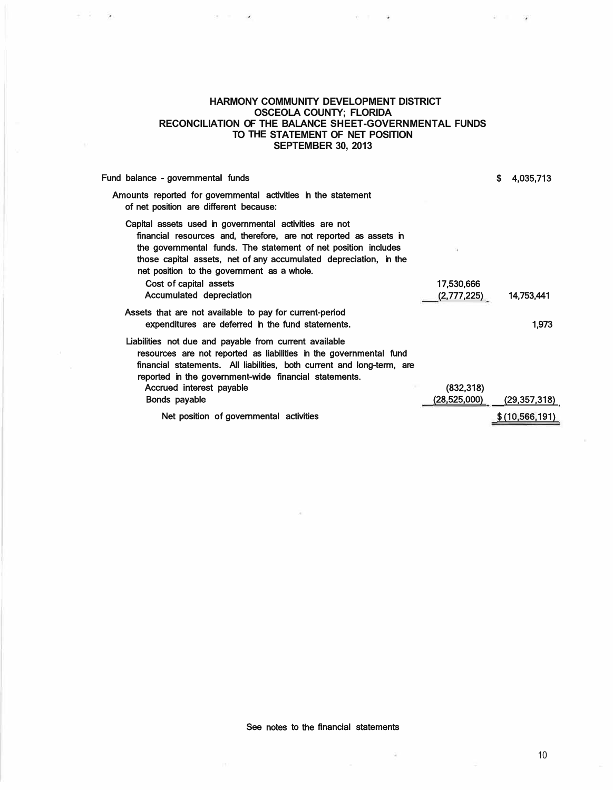## **HARMONY COMMUNITY DEVELOPMENT DISTRICT OSCEOLA COUNTY; FLORIDA RECONCILIATION OF THE BALANCE SHEET-GOVERNMENTAL FUNDS TO THE STATEMENT OF NET POSITION SEPTEMBER 30, 2013**

 $\overline{\psi}=\overline{\psi}=-\overline{\psi}$ 

u.

ä

 $\overline{A}=\overline{A}$  , where  $\overline{A}$ 

 $\sim$ 

 $\overline{1}$ 

| Fund balance - governmental funds                                                                                                                                                                                                                                                                                | S | 4,035,713        |
|------------------------------------------------------------------------------------------------------------------------------------------------------------------------------------------------------------------------------------------------------------------------------------------------------------------|---|------------------|
| Amounts reported for governmental activities in the statement<br>of net position are different because:                                                                                                                                                                                                          |   |                  |
| Capital assets used in governmental activities are not<br>financial resources and, therefore, are not reported as assets in<br>the governmental funds. The statement of net position includes<br>those capital assets, net of any accumulated depreciation, in the<br>net position to the government as a whole. |   |                  |
| Cost of capital assets<br>17,530,666                                                                                                                                                                                                                                                                             |   |                  |
| Accumulated depreciation<br>(2,777,225)                                                                                                                                                                                                                                                                          |   | 14,753,441       |
| Assets that are not available to pay for current-period<br>expenditures are deferred in the fund statements.                                                                                                                                                                                                     |   | 1,973            |
| Liabilities not due and payable from current available<br>resources are not reported as liabilities in the governmental fund<br>financial statements. All liabilities, both current and long-term, are<br>reported in the government-wide financial statements.<br>Accrued interest payable<br>(832, 318)        |   |                  |
| (28, 525, 000)<br>Bonds payable                                                                                                                                                                                                                                                                                  |   | (29, 357, 318)   |
|                                                                                                                                                                                                                                                                                                                  |   |                  |
| Net position of governmental activities                                                                                                                                                                                                                                                                          |   | \$(10, 566, 191) |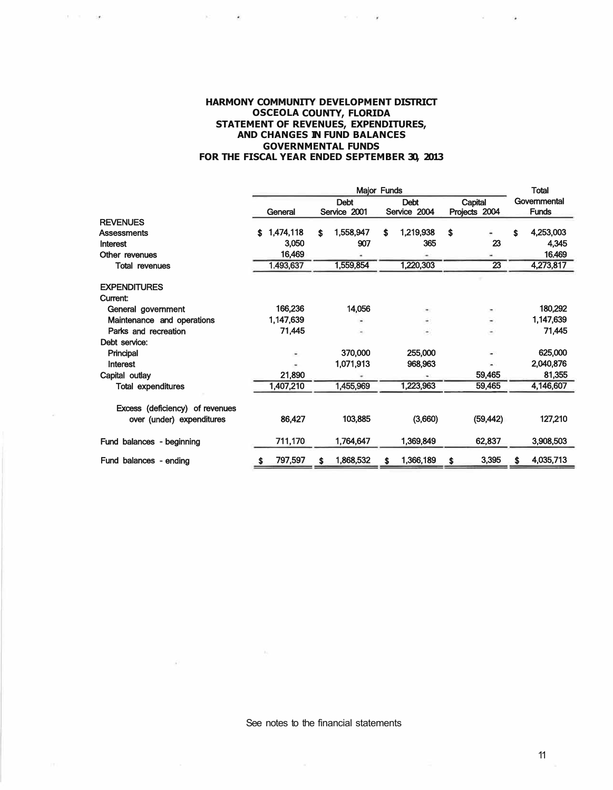# **HARMONY COMMUNITY DEVELOPMENT DISTRICT OSCEOLA COUNTY, FLORIDA STATEMENT OF REVENUES, EXPENDITURES, AND CHANGES IN FUND BALANCES GOVERNMENTAL FUNDS FOR THE FISCAL YEAR ENDED SEPTEMBER 30, 2013**

 $\epsilon \rightarrow -$ 

ú.

 $\label{eq:1.1} \left\langle \mathbf{r}\right\rangle =\mathbf{r}=-\mathbf{r}$ 

V.

 $\star$ 

|                                 |                 | <b>Total</b>                |                             |                          |                              |
|---------------------------------|-----------------|-----------------------------|-----------------------------|--------------------------|------------------------------|
|                                 | General         | <b>Debt</b><br>Service 2001 | <b>Debt</b><br>Service 2004 | Capital<br>Projects 2004 | Governmental<br><b>Funds</b> |
| <b>REVENUES</b>                 |                 |                             |                             |                          |                              |
| Assessments                     | 1,474,118<br>\$ | 1,558,947<br>\$             | 1,219,938<br>S              | \$                       | 4,253,003<br>\$              |
| Interest                        | 3,050           | 907                         | 365                         | 23                       | 4,345                        |
| Other revenues                  | 16,469          |                             |                             |                          | 16.469                       |
| <b>Total revenues</b>           | 1.493,637       | 1,559,854                   | 1,220,303                   | 23                       | 4,273,817                    |
| <b>EXPENDITURES</b>             |                 |                             |                             |                          |                              |
| Current:                        |                 |                             |                             |                          |                              |
| General government              | 166,236         | 14,056                      |                             |                          | 180,292                      |
| Maintenance and operations      | 1,147,639       |                             |                             | ۰                        | 1,147,639                    |
| Parks and recreation            | 71,445          |                             | ۰                           |                          | 71,445                       |
| Debt service:                   |                 |                             |                             |                          |                              |
| Principal                       |                 | 370,000                     | 255,000                     |                          | 625,000                      |
| Interest                        |                 | 1,071,913                   | 968,963                     |                          | 2,040,876                    |
| Capital outlay                  | 21,890          |                             |                             | 59,465                   | 81,355                       |
| <b>Total expenditures</b>       | 1,407,210       | 1,455,969                   | 1,223,963                   | 59,465                   | 4,146,607                    |
| Excess (deficiency) of revenues |                 |                             |                             |                          |                              |
| over (under) expenditures       | 86,427          | 103,885                     | (3,660)                     | (59, 442)                | 127,210                      |
| Fund balances - beginning       | 711,170         | 1,764,647                   | 1,369,849                   | 62,837                   | 3,908,503                    |
| Fund balances - ending          | 797,597         | 1,868,532<br>S              | 1,366,189<br>\$             | 3,395<br>\$              | 4,035,713<br>S               |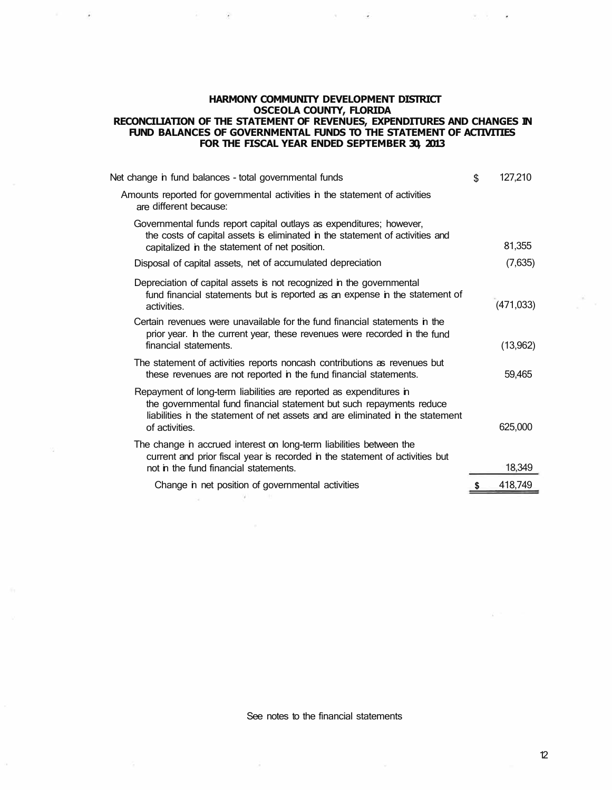# **HARMONY COMMUNITY DEVELOPMENT DISTRICT OSCEOLA COUNTY, FLORIDA RECONCILIATION OF THE STATEMENT OF REVENUES, EXPENDITURES AND CHANGES IN FUND BALANCES OF GOVERNMENTAL FUNDS TO THE STATEMENT OF ACTIVITIES FOR THE FISCAL YEAR ENDED SEPTEMBER 30, 2013**

 $\mathcal{R}$ 

 $\overline{\phantom{a}}$ 

 $\mathbb{R}$  . The contract of  $\mathbb{R}$ 

- 2

 $\omega$ 

| Net change in fund balances - total governmental funds                                                                                                                                                                                         | \$<br>127,210 |
|------------------------------------------------------------------------------------------------------------------------------------------------------------------------------------------------------------------------------------------------|---------------|
| Amounts reported for governmental activities in the statement of activities<br>are different because:                                                                                                                                          |               |
| Governmental funds report capital outlays as expenditures; however,<br>the costs of capital assets is eliminated in the statement of activities and<br>capitalized in the statement of net position.                                           | 81,355        |
| Disposal of capital assets, net of accumulated depreciation                                                                                                                                                                                    | (7,635)       |
| Depreciation of capital assets is not recognized in the governmental<br>fund financial statements but is reported as an expense in the statement of<br>activities.                                                                             | (471, 033)    |
| Certain revenues were unavailable for the fund financial statements in the<br>prior year. h the current year, these revenues were recorded in the fund<br>financial statements.                                                                | (13,962)      |
| The statement of activities reports noncash contributions as revenues but<br>these revenues are not reported in the fund financial statements.                                                                                                 | 59,465        |
| Repayment of long-term liabilities are reported as expenditures in<br>the governmental fund financial statement but such repayments reduce<br>liabilities in the statement of net assets and are eliminated in the statement<br>of activities. | 625,000       |
| The change in accrued interest on long-term liabilities between the<br>current and prior fiscal year is recorded in the statement of activities but<br>not in the fund financial statements.                                                   | 18,349        |
| Change in net position of governmental activities                                                                                                                                                                                              | 418,749       |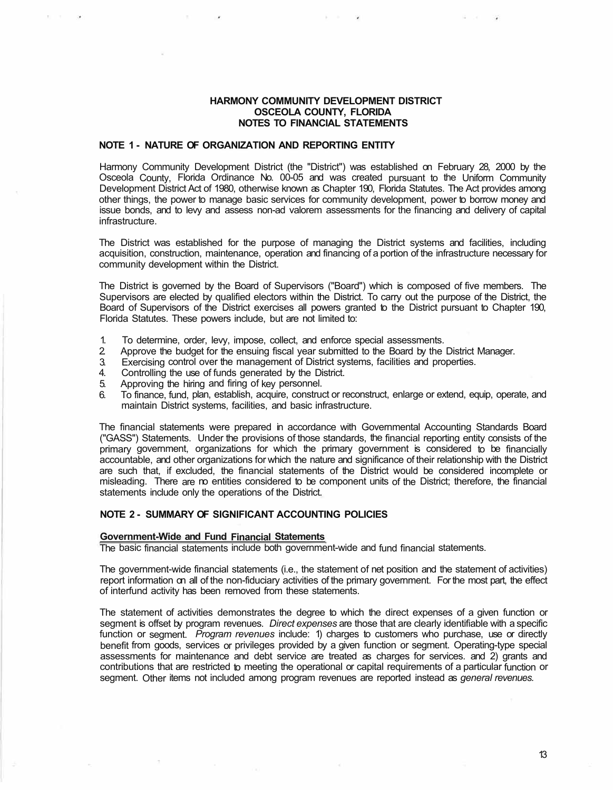# **HARMONY COMMUNITY DEVELOPMENT DISTRICT OSCEOLA COUNTY, FLORIDA NOTES TO FINANCIAL STATEMENTS**

# **NOTE 1 - NATURE OF ORGANIZATION AND REPORTING ENTITY**

Harmony Community Development District (the "District") was established on February 28, 2000 by the Osceola County, Florida Ordinance No. 00-05 and was created pursuant to the Uniform Community Development District Act of 1980, otherwise known as Chapter 190, Florida Statutes. The Act provides among other things, the power to manage basic services for community development, power to borrow money and issue bonds, and to levy and assess non-ad valorem assessments for the financing and delivery of capital infrastructure.

The District was established for the purpose of managing the District systems and facilities, including acquisition, construction, maintenance, operation and financing of a portion of the infrastructure necessary for community development within the District.

The District is governed by the Board of Supervisors ("Board") which is composed of five members. The Supervisors are elected by qualified electors within the District. To carry out the purpose of the District, the Board of Supervisors of the District exercises all powers granted to the District pursuant to Chapter 190, Florida Statutes. These powers include, but are not limited to:

- 1. To determine, order, levy, impose, collect, and enforce special assessments.
- 2 Approve the budget for the ensuing fiscal year submitted to the Board by the District Manager.<br>3 Exercising control over the management of District systems, facilities and properties.
- 3. Exercising control over the management of District systems, facilities and properties.<br>4. Controlling the use of funds generated by the District.
- 4. Controlling the use of funds generated by the District.<br>5. Approving the hiring and firing of key personnel.
- 5. Approving the hiring and firing of key personnel.<br>6. To finance fund, plan, establish, acquire, construction
- To finance, fund, plan, establish, acquire, construct or reconstruct, enlarge or extend, equip, operate, and maintain District systems, facilities, and basic infrastructure.

The financial statements were prepared in accordance with Governmental Accounting Standards Board ("GASS") Statements. Under the provisions of those standards, the financial reporting entity consists of the primary government, organizations for which the primary government is considered to be financially accountable, and other organizations for which the nature and significance of their relationship with the District are such that, if excluded, the financial statements of the District would be considered incomplete or misleading. There are no entities considered to be component units of the District; therefore, the financial statements include only the operations of the District.

# **NOTE 2 - SUMMARY OF SIGNIFICANT ACCOUNTING POLICIES**

## **Government-Wide and Fund Financial Statements**

The basic financial statements include both government-wide and fund financial statements.

The government-wide financial statements (i.e., the statement of net position and the statement of activities) report information on all of the non-fiduciary activities of the primary government. For the most part, the effect of interfund activity has been removed from these statements.

The statement of activities demonstrates the degree to which the direct expenses of a given function or segment is offset by program revenues. *Direct expenses* are those that are clearly identifiable with a specific function or segment. *Program revenues* include: 1) charges to customers who purchase, use or directly benefit from goods, services or privileges provided by a given function or segment. Operating-type special assessments for maintenance and debt service are treated as charges for services. and 2) grants and contributions that are restricted to meeting the operational or capital requirements of a particular function or segment. Other items not included among program revenues are reported instead as *general revenues.*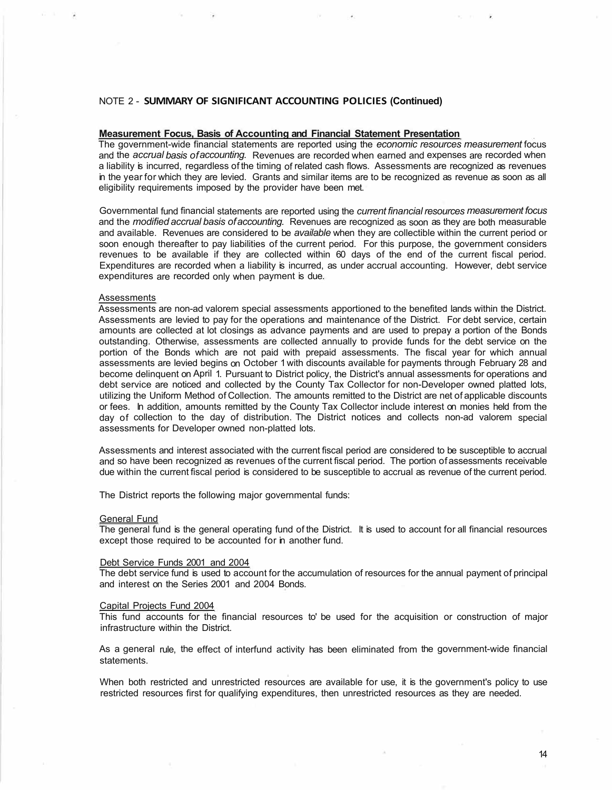### **Measurement Focus, Basis of Accounting and Financial Statement Presentation**

The government-wide financial statements are reported using the *economic resources measurement* focus and the *accrual basis of accounting.* Revenues are recorded when earned and expenses are recorded when a liability is incurred, regardless of the timing of related cash flows. Assessments are recognized as revenues in the year for which they are levied. Grants and similar items are to be recognized as revenue as soon as all eligibility requirements imposed by the provider have been met.

Governmental fund financial statements are reported using the *current financial resources measurement focus*  and the *modified accrual basis of accounting.* Revenues are recognized as soon as they are both measurable and available. Revenues are considered to be *available* when they are collectible within the current period or soon enough thereafter to pay liabilities of the current period. For this purpose, the government considers revenues to be available if they are collected within 60 days of the end of the current fiscal period. Expenditures are recorded when a liability is incurred, as under accrual accounting. However, debt service expenditures are recorded only when payment is due.

#### Assessments

Assessments are non-ad valorem special assessments apportioned to the benefited lands within the District. Assessments are levied to pay for the operations and maintenance of the District. For debt service, certain amounts are collected at lot closings as advance payments and are used to prepay a portion of the Bonds outstanding. Otherwise, assessments are collected annually to provide funds for the debt service on the portion of the Bonds which are not paid with prepaid assessments. The fiscal year for which annual assessments are levied begins on October 1 with discounts available for payments through February 28 and become delinquent on April 1. Pursuant to District policy, the District's annual assessments for operations and debt service are noticed and collected by the County Tax Collector for non-Developer owned platted lots, utilizing the Uniform Method of Collection. The amounts remitted to the District are net of applicable discounts or fees. In addition, amounts remitted by the County Tax Collector include interest on monies held from the day of collection to the day of distribution. The District notices and collects non-ad valorem special assessments for Developer owned non-platted lots.

Assessments and interest associated with the current fiscal period are considered to be susceptible to accrual and so have been recognized as revenues of the current fiscal period. The portion of assessments receivable due within the current fiscal period is considered to be susceptible to accrual as revenue of the current period.

The District reports the following major governmental funds:

#### General Fund

The general fund is the general operating fund of the District. It is used to account for all financial resources except those required to be accounted for in another fund.

#### Debt Service Funds 2001 and 2004

The debt service fund is used to account for the accumulation of resources for the annual payment of principal and interest on the Series 2001 and 2004 Bonds.

### Capital Projects Fund 2004

This fund accounts for the financial resources to' be used for the acquisition or construction of major infrastructure within the District.

As a general rule, the effect of interfund activity has been eliminated from the government-wide financial statements.

When both restricted and unrestricted resources are available for use, it is the government's policy to use restricted resources first for qualifying expenditures, then unrestricted resources as they are needed.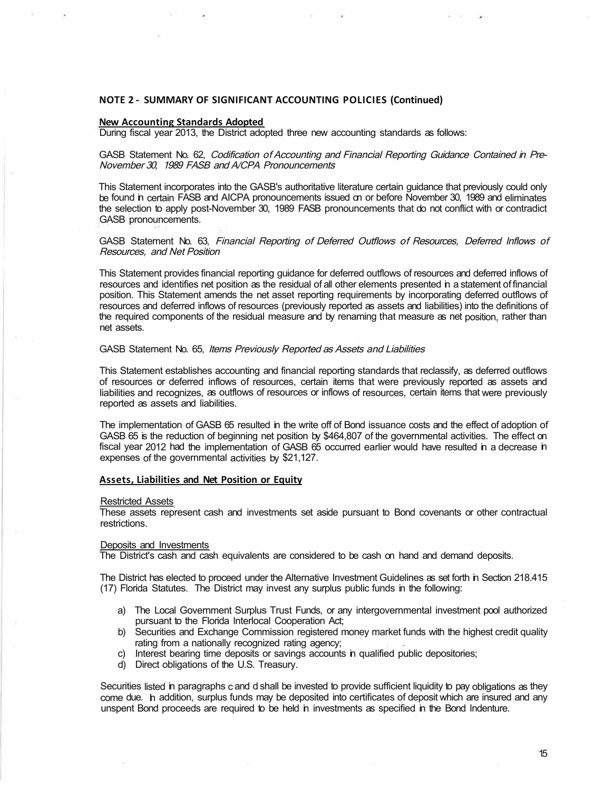### **New Accounting Standards Adopted**

During fiscal year 2013, the District adopted three new accounting standards as follows:

GASB Statement No. 62, Codification of Accounting and Financial Reporting Guidance Contained in Pre-November 30, 1989 FASB and A/CPA Pronouncements

This Statement incorporates into the GASB's authoritative literature certain guidance that previously could only be found in certain FASB and AICPA pronouncements issued on or before November 30, 1989 and eliminates the selection to apply post-November 30, 1989 FASB pronouncements that do not conflict with or contradict GASB pronouncements.

GASB Statement No. 63, Financial Reporting of Deferred Outflows of Resources, Deferred Inflows of Resources, and Net Position

This Statement provides financial reporting guidance for deferred outflows of resources and deferred inflows of resources and identifies net position as the residual of all other elements presented in a statement of financial position. This Statement amends the net asset reporting requirements by incorporating deferred outflows of resources and deferred inflows of resources (previously reported as assets and liabilities) into the definitions of the required components of the residual measure and by renaming that measure as net position, rather than net assets.

GASB Statement No. 65, Items Previously Reported as Assets and Liabilities

This Statement establishes accounting and financial reporting standards that reclassify, as deferred outflows of resources or deferred inflows of resources, certain items that were previously reported as assets and liabilities and recognizes, as outflows of resources or inflows of resources, certain items that were previously reported as assets and liabilities.

The implementation of GASB 65 resulted in the write off of Bond issuance costs and the effect of adoption of GASB 65 is the reduction of beginning net position by \$464,807 of the governmental activities. The effect on fiscal year 2012 had the implementation of GASB 65 occurred earlier would have resulted in a decrease in expenses of the governmental activities by \$21,127.

### **Assets, Liabilities and Net Position or Equity**

#### Restricted Assets

These assets represent cash and investments set aside pursuant to Bond covenants or other contractual restrictions.

#### Deposits and Investments

The District's cash and cash equivalents are considered to be cash on hand and demand deposits.

The District has elected to proceed under the Alternative Investment Guidelines as set forth in Section 218.415 (17) Florida Statutes. The District may invest any surplus public funds in the following:

- a) The Local Government Surplus Trust Funds, or any intergovernmental investment pool authorized pursuant to the Florida lnterlocal Cooperation Act;
- b) Securities and Exchange Commission registered money market funds with the highest credit quality rating from a nationally recognized rating agency;
- c) Interest bearing time deposits or savings accounts in qualified public depositories;
- d) Direct obligations of the U.S. Treasury.

Securities listed in paragraphs c and d shall be invested to provide sufficient liquidity to pay obligations as they come due. In addition, surplus funds may be deposited into certificates of deposit which are insured and any unspent Bond proceeds are required to be held in investments as specified in the Bond Indenture.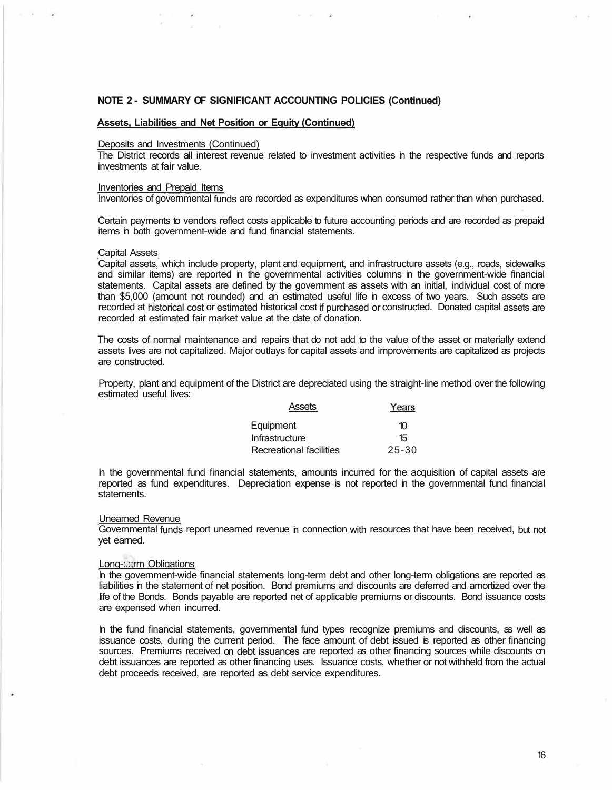## **Assets, Liabilities and Net Position or Equity (Continued)**

## Deposits and Investments (Continued)

The District records all interest revenue related to investment activities in the respective funds and reports investments at fair value.

#### Inventories and Prepaid Items

Inventories of governmental funds are recorded as expenditures when consumed rather than when purchased.

Certain payments to vendors reflect costs applicable to future accounting periods and are recorded as prepaid items in both government-wide and fund financial statements.

#### Capital Assets

Capital assets, which include property, plant and equipment, and infrastructure assets (e.g., roads, sidewalks and similar items) are reported in the governmental activities columns in the government-wide financial statements. Capital assets are defined by the government as assets with an initial, individual cost of more than \$5,000 (amount not rounded) and an estimated useful life in excess of two years. Such assets are recorded at historical cost or estimated historical cost if purchased or constructed. Donated capital assets are recorded at estimated fair market value at the date of donation.

The costs of normal maintenance and repairs that do not add to the value of the asset or materially extend assets lives are not capitalized. Major outlays for capital assets and improvements are capitalized as projects are constructed.

Property, plant and equipment of the District are depreciated using the straight-line method over the following estimated useful lives:

| <b>Assets</b>                  | Years |
|--------------------------------|-------|
| Equipment                      | 10    |
| Infrastructure                 | 15    |
| <b>Recreational facilities</b> | 25-30 |

In the governmental fund financial statements, amounts incurred for the acquisition of capital assets are reported as fund expenditures. Depreciation expense is not reported in the governmental fund financial statements.

### Unearned Revenue

Governmental funds report unearned revenue in connection with resources that have been received, but not yet earned.

#### Long-:::;rm Obligations

In the government-wide financial statements long-term debt and other long-term obligations are reported as liabilities in the statement of net position. Bond premiums and discounts are deferred and amortized over the life of the Bonds. Bonds payable are reported net of applicable premiums or discounts. Bond issuance costs are expensed when incurred.

In the fund financial statements, governmental fund types recognize premiums and discounts, as well as issuance costs, during the current period. The face amount of debt issued is reported as other financing sources. Premiums received on debt issuances are reported as other financing sources while discounts on debt issuances are reported as other financing uses. Issuance costs, whether or not withheld from the actual debt proceeds received, are reported as debt service expenditures.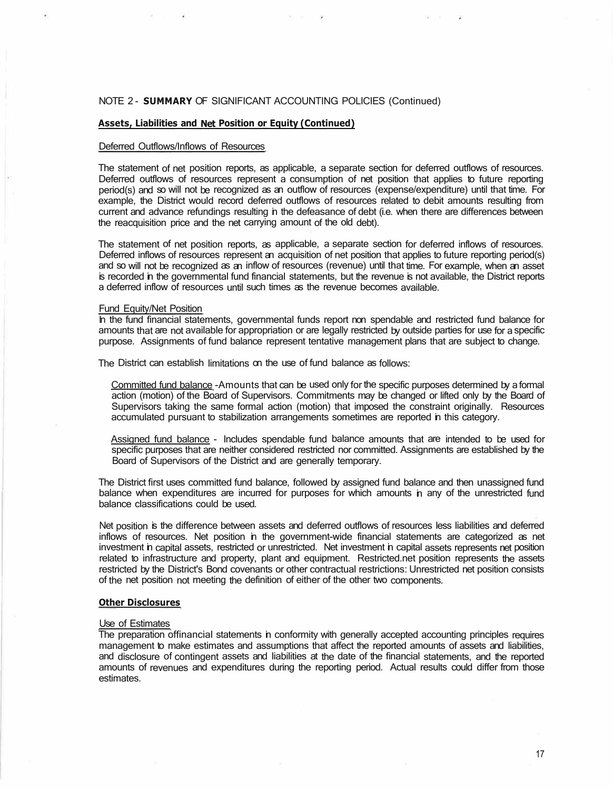## **Assets, Liabilities and Net Position or Equity (Continued)**

### Deferred Outflows/Inflows of Resources

The statement of net position reports, as applicable, a separate section for deferred outflows of resources. Deferred outflows of resources represent a consumption of net position that applies to future reporting period(s) and so will not be recognized as an outflow of resources (expense/expenditure) until that time. For example, the District would record deferred outflows of resources related to debit amounts resulting from current and advance refundings resulting in the defeasance of debt (i.e. when there are differences between the reacquisition price and the net carrying amount of the old debt).

The statement of net position reports, as applicable, a separate section for deferred inflows of resources. Deferred inflows of resources represent an acquisition of net position that applies to future reporting period(s) and so will not be recognized as an inflow of resources (revenue) until that time. For example, when an asset is recorded in the governmental fund financial statements, but the revenue is not available, the District reports a deferred inflow of resources until such times as the revenue becomes available.

#### Fund Equity/Net Position

In the fund financial statements, governmental funds report non spendable and restricted fund balance for amounts that are not available for appropriation or are legally restricted by outside parties for use for a specific purpose. Assignments of fund balance represent tentative management plans that are subject to change.

The District can establish limitations on the use of fund balance as follows:

Committed fund balance -Amounts that can be used only for the specific purposes determined by a formal action (motion) of the Board of Supervisors. Commitments may be changed or lifted only by the Board of Supervisors taking the same formal action (motion) that imposed the constraint originally. Resources accumulated pursuant to stabilization arrangements sometimes are reported in this category.

Assigned fund balance - Includes spendable fund balance amounts that are intended to be used for specific purposes that are neither considered restricted nor committed. Assignments are established by the Board of Supervisors of the District and are generally temporary.

The District first uses committed fund balance, followed by assigned fund balance and then unassigned fund balance when expenditures are incurred for purposes for which amounts in any of the unrestricted fund balance classifications could be used.

Net position is the difference between assets and deferred outflows of resources less liabilities and deferred inflows of resources. Net position in the government-wide financial statements are categorized as net investment in capital assets, restricted or unrestricted. Net investment in capital assets represents net position related to infrastructure and property, plant and equipment. Restricted.net position represents the assets restricted by the District's Bond covenants or other contractual restrictions: Unrestricted net position consists of the net position not meeting the definition of either of the other two components.

## **Other Disclosures**

#### Use of Estimates

The preparation offinancial statements in conformity with generally accepted accounting principles requires management to make estimates and assumptions that affect the reported amounts of assets and liabilities, and disclosure of contingent assets and liabilities at the date of the financial statements, and the reported amounts of revenues and expenditures during the reporting period. Actual results could differ from those estimates.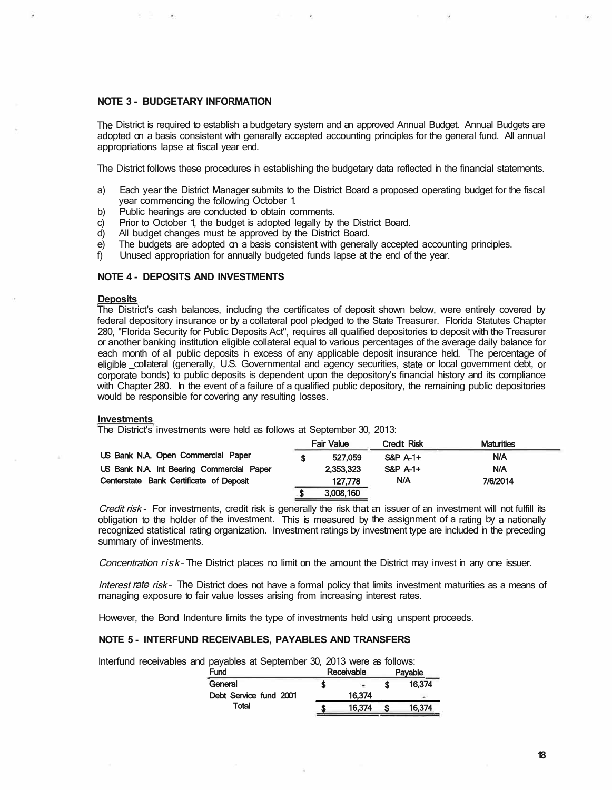## **NOTE 3 - BUDGETARY INFORMATION**

The District is required to establish a budgetary system and an approved Annual Budget. Annual Budgets are adopted on a basis consistent with generally accepted accounting principles for the general fund. All annual appropriations lapse at fiscal year end.

The District follows these procedures in establishing the budgetary data reflected in the financial statements.

- a) Each year the District Manager submits to the District Board a proposed operating budget for the fiscal year commencing the following October 1.
- b) Public hearings are conducted to obtain comments.
- c) Prior to October 1, the budget is adopted legally by the District Board.<br>d) All budget changes must be approved by the District Board.
- All budget changes must be approved by the District Board.
- e) The budgets are adopted on a basis consistent with generally accepted accounting principles.<br>f) Unused appropriation for annually budgeted funds lapse at the end of the vear.
- Unused appropriation for annually budgeted funds lapse at the end of the year.

## **NOTE 4 - DEPOSITS AND INVESTMENTS**

#### **Deposits**

The District's cash balances, including the certificates of deposit shown below, were entirely covered by federal depository insurance or by a collateral pool pledged to the State Treasurer. Florida Statutes Chapter 280, "Florida Security for Public Deposits Act", requires all qualified depositories to deposit with the Treasurer or another banking institution eligible collateral equal to various percentages of the average daily balance for each month of all public deposits in excess of any applicable deposit insurance held. The percentage of eligible \_collateral (generally, U.S. Governmental and agency securities, state or local government debt, or corporate bonds) to public deposits is dependent upon the depository's financial history and its compliance with Chapter 280. In the event of a failure of a qualified public depository, the remaining public depositories would be responsible for covering any resulting losses.

#### **Investments**

The District's investments were held as follows at September 30, 2013:

|                                           | <b>Fair Value</b> | <b>Credit Risk</b>  | <b>Maturities</b> |
|-------------------------------------------|-------------------|---------------------|-------------------|
| US Bank N.A. Open Commercial Paper        | 527.059           | <b>S&amp;P A-1+</b> | <b>N/A</b>        |
| US Bank N.A. Int Bearing Commercial Paper | 2,353,323         | S&P A-1+            | <b>N/A</b>        |
| Centerstate Bank Certificate of Deposit   | 127.778           | N/A                 | 7/6/2014          |
|                                           | 3,008,160         |                     |                   |

Credit risk - For investments, credit risk is generally the risk that an issuer of an investment will not fulfill its obligation to the holder of the investment. This is measured by the assignment of a rating by a nationally recognized statistical rating organization. Investment ratings by investment type are included in the preceding summary of investments.

*Concentration risk*- The District places no limit on the amount the District may invest in any one issuer.

Interest rate risk - The District does not have a formal policy that limits investment maturities as a means of managing exposure to fair value losses arising from increasing interest rates.

However, the Bond Indenture limits the type of investments held using unspent proceeds.

#### **NOTE 5 - INTERFUND RECEIVABLES, PAYABLES AND TRANSFERS**

lnterfund receivables and payables at September 30, 2013 were as follows:

| <b>Fund</b>            |   | Receivable | Payable |        |  |
|------------------------|---|------------|---------|--------|--|
| General                | S |            |         | 16.374 |  |
| Debt Service fund 2001 |   | 16.374     |         |        |  |
| Total                  |   | 16,374     |         | 16,374 |  |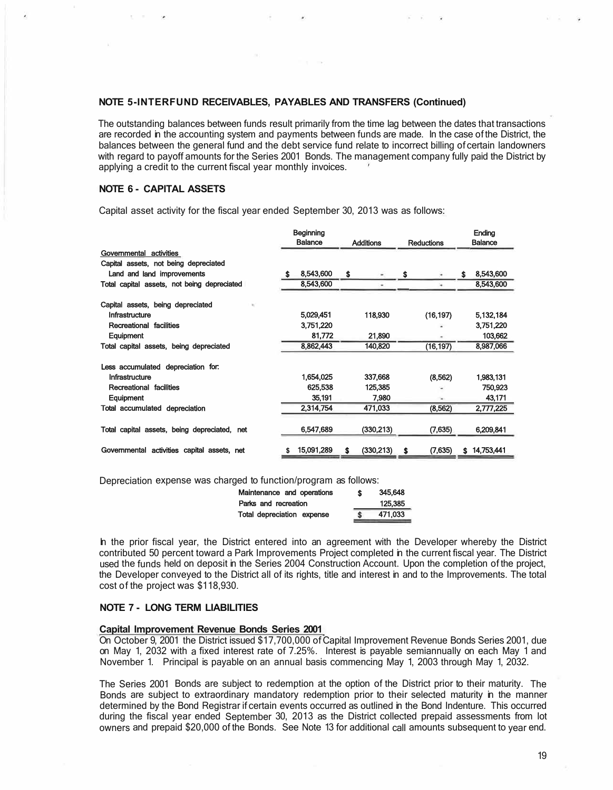## **NOTE 5-INTERFUND RECEIVABLES, PAYABLES AND TRANSFERS (Continued)**

The outstanding balances between funds result primarily from the time lag between the dates that transactions are recorded in the accounting system and payments between funds are made. In the case of the District, the balances between the general fund and the debt service fund relate to incorrect billing of certain landowners with regard to payoff amounts for the Series 2001 Bonds. The management company fully paid the District by applying a credit to the current fiscal year monthly invoices.

## **NOTE 6 - CAPITAL ASSETS**

Capital asset activity for the fiscal year ended September 30, 2013 was as follows:

|                                              | Beginning<br><b>Balance</b> |            | <b>Additions</b> |           | <b>Reductions</b> |           | Ending<br><b>Balance</b> |            |
|----------------------------------------------|-----------------------------|------------|------------------|-----------|-------------------|-----------|--------------------------|------------|
| Governmental activities                      |                             |            |                  |           |                   |           |                          |            |
| Capital assets, not being depreciated        |                             |            |                  |           |                   |           |                          |            |
| Land and land improvements                   | S.                          | 8,543,600  | \$               |           | S                 |           |                          | 8,543,600  |
| Total capital assets, not being depreciated  |                             | 8,543,600  |                  |           |                   |           |                          | 8,543,600  |
| Capital assets, being depreciated            |                             |            |                  |           |                   |           |                          |            |
| Infrastructure                               |                             | 5,029,451  |                  | 118,930   |                   | (16, 197) |                          | 5,132,184  |
| Recreational facilities                      |                             | 3,751,220  |                  |           |                   |           |                          | 3,751,220  |
| Equipment                                    |                             | 81,772     |                  | 21,890    |                   |           |                          | 103,662    |
| Total capital assets, being depreciated      |                             | 8,862,443  |                  | 140,820   |                   | (16, 197) |                          | 8,987,066  |
| Less accumulated depreciation for:           |                             |            |                  |           |                   |           |                          |            |
| Infrastructure                               |                             | 1,654,025  |                  | 337,668   |                   | (8,562)   |                          | 1,983,131  |
| Recreational facilities                      |                             | 625,538    |                  | 125,385   |                   |           |                          | 750,923    |
| Equipment                                    |                             | 35,191     |                  | 7.980     |                   |           |                          | 43,171     |
| Total accumulated depreciation               |                             | 2,314,754  |                  | 471,033   |                   | (8, 562)  |                          | 2,777,225  |
| Total capital assets, being depreciated, net |                             | 6,547,689  |                  | (330,213) |                   | (7,635)   |                          | 6,209,841  |
| Governmental activities capital assets, net  |                             | 15,091,289 | \$               | (330,213) | \$                | (7,635)   | S.                       | 14,753,441 |

Depreciation expense was charged to function/program as follows:

| Maintenance and operations | S | 345.648 |
|----------------------------|---|---------|
| Parks and recreation       |   | 125,385 |
| Total depreciation expense |   | 471.033 |

In the prior fiscal year, the District entered into an agreement with the Developer whereby the District contributed 50 percent toward a Park Improvements Project completed in the current fiscal year. The District used the funds held on deposit in the Series 2004 Construction Account. Upon the completion of the project, the Developer conveyed to the District all of its rights, title and interest in and to the Improvements. The total cost of the project was \$118,930.

### **NOTE 7 - LONG TERM LIABILITIES**

## **Capital Improvement Revenue Bonds Series 2001**

On October 9, 2001 the District issued \$17,700,000 of Capital Improvement Revenue Bonds Series 2001, due on May 1, 2032 with a fixed interest rate of 7.25%. Interest is payable semiannually on each May 1 and November 1. Principal is payable on an annual basis commencing May 1, 2003 through May 1, 2032.

The Series 2001 Bonds are subject to redemption at the option of the District prior to their maturity. The Bonds are subject to extraordinary mandatory redemption prior to their selected maturity in the manner determined by the Bond Registrar if certain events occurred as outlined in the Bond Indenture. This occurred during the fiscal year ended September 30, 2013 as the District collected prepaid assessments from lot owners and prepaid \$20,000 of the Bonds. See Note 13 for additional call amounts subsequent to year end.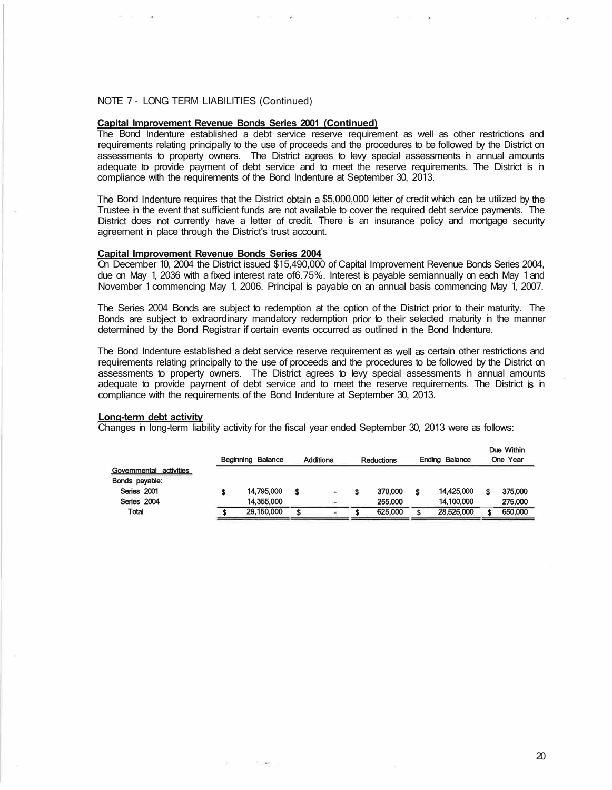## NOTE 7 - LONG TERM LIABILITIES (Continued)

### **Capital Improvement Revenue Bonds Series 2001 (Continued)**

The Bond Indenture established a debt service reserve requirement as well as other restrictions and requirements relating principally to the use of proceeds and the procedures to be followed by the District on assessments to property owners. The District agrees to levy special assessments in annual amounts adequate to provide payment of debt service and to meet the reserve requirements. The District is in compliance with the requirements of the Bond Indenture at September 30, 2013.

The Bond Indenture requires that the District obtain a \$5,000,000 letter of credit which can be utilized by the Trustee in the event that sufficient funds are not available to cover the required debt service payments. The District does not currently have a letter of credit. There is an insurance policy and mortgage security agreement in place through the District's trust account.

# **Capital Improvement Revenue Bonds Series 2004**

On December 10, 2004 the District issued \$15,490,000 of Capital Improvement Revenue Bonds Series 2004, due on May 1, 2036 with a fixed interest rate of6.75%. Interest is payable semiannually on each May 1 and November 1 commencing May 1, 2006. Principal is payable on an annual basis commencing May 1, 2007.

The Series 2004 Bonds are subject to redemption at the option of the District prior to their maturity. The Bonds are subject to extraordinary mandatory redemption prior to their selected maturity in the manner determined by the Bond Registrar if certain events occurred as outlined in the Bond Indenture.

The Bond Indenture established a debt service reserve requirement as well as certain other restrictions and requirements relating principally to the use of proceeds and the procedures to be followed by the District on assessments to property owners. The District agrees to levy special assessments in annual amounts adequate to provide payment of debt service and to meet the reserve requirements. The District is in compliance with the requirements of the Bond Indenture at September 30, 2013.

#### **Long-term debt activity**

Changes in long-term liability activity for the fiscal year ended September 30, 2013 were as follows:

20 million

|                         | <b>Beginning Balance</b> |  | <b>Additions</b> |  | Reductions |   | <b>Ending Balance</b> |  | Due Within<br>One Year |  |  |
|-------------------------|--------------------------|--|------------------|--|------------|---|-----------------------|--|------------------------|--|--|
| Governmental activities |                          |  |                  |  |            |   |                       |  |                        |  |  |
| Bonds payable:          |                          |  |                  |  |            |   |                       |  |                        |  |  |
| Series 2001             | 14,795,000               |  | ×                |  | 370,000    | Ŝ | 14,425,000            |  | 375,000                |  |  |
| Series 2004             | 14.355.000               |  |                  |  | 255,000    |   | 14.100.000            |  | 275,000                |  |  |
| Total                   | 29.150.000               |  |                  |  | 625,000    |   | 28,525,000            |  | 650,000                |  |  |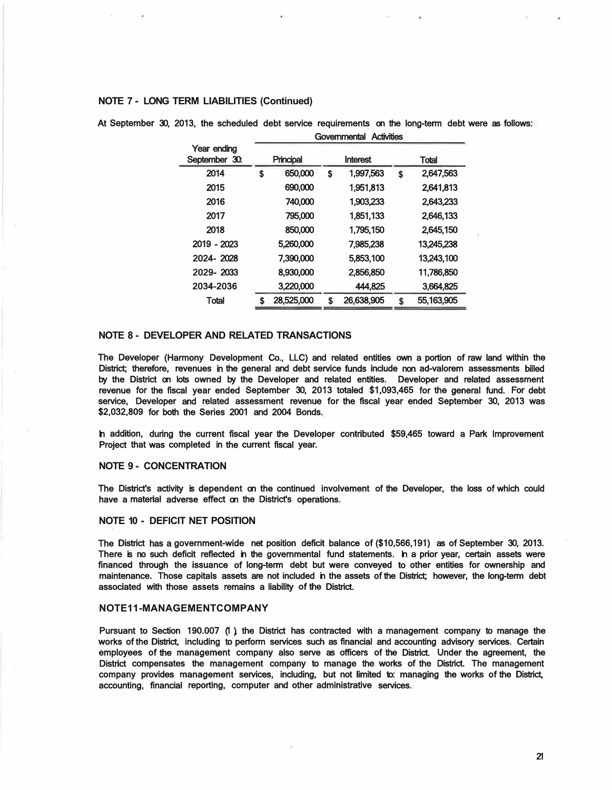## **NOTE 7 - LONG TERM LIABILITIES (Continued)**

|                              | <b>Activities</b><br>Governmental |            |          |            |    |            |  |  |
|------------------------------|-----------------------------------|------------|----------|------------|----|------------|--|--|
| Year ending<br>September 30. |                                   | Principal  | Interest |            |    | Total      |  |  |
| 2014                         | \$                                | 650,000    | \$       | 1,997,563  | \$ | 2,647,563  |  |  |
| 2015                         |                                   | 690,000    |          | 1,951,813  |    | 2,641,813  |  |  |
| 2016                         |                                   | 740,000    |          | 1,903,233  |    | 2,643,233  |  |  |
| 2017                         |                                   | 795,000    |          | 1,851,133  |    | 2,646,133  |  |  |
| 2018                         | 850,000                           |            |          | 1,795,150  |    | 2,645,150  |  |  |
| 2019 - 2023                  |                                   | 5,260,000  |          | 7,985,238  |    | 13,245,238 |  |  |
| 2024-2028                    |                                   | 7,390,000  |          | 5,853,100  |    | 13,243,100 |  |  |
| 2029-2033                    |                                   | 8,930,000  |          | 2,856,850  |    | 11,786,850 |  |  |
| 2034-2036                    |                                   | 3,220,000  |          | 444,825    |    | 3,664,825  |  |  |
| Total                        | S                                 | 28,525,000 | \$       | 26,638,905 | \$ | 55.163,905 |  |  |

At September 30, 2013, the scheduled debt service requirements on the long-term debt were as follows:

## **NOTE 8 - DEVELOPER AND RELATED TRANSACTIONS**

The Developer (Harmony Development Co., LLC) and related entities own a portion of raw land within the District; therefore, revenues in the general and debt service funds include non ad-valorem assessments billed by the District on lots owned by the Developer and related entities. Developer and related assessment revenue for the fiscal year ended September 30, 2013 totaled \$1,093,465 for the general fund. For debt service, Developer and related assessment revenue for the fiscal year ended September 30, 2013 was \$2,032,809 for both the Series 2001 and 2004 Bonds.

In addition, during the current fiscal year the Developer contributed \$59,465 toward a Park Improvement Project that was completed in the current fiscal year.

#### **NOTE 9 - CONCENTRATION**

The District's activity is dependent on the continued involvement of the Developer, the loss of which could have a material adverse effect on the District's operations.

### **NOTE 10 - DEFICIT NET POSITION**

The District has a government-wide net position deficit balance of (\$10,566,191) as of September 30, 2013. There is no such deficit reflected in the governmental fund statements. In a prior year, certain assets were financed through the issuance of long-term debt but were conveyed to other entities for ownership and maintenance. Those capitals assets are not included in the assets of the District; however, the long-term debt associated with those assets remains a liability of the District.

### **NOTE11-MANAGEMENTCOMPANY**

Pursuant to Section 190.007 (1), the District has contracted with a management company to manage the works of the District, including to perform services such as financial and accounting advisory services. Certain employees of the management company also serve as officers of the District. Under the agreement, the District compensates the management company to manage the works of the District. The management company provides management services, including, but not limited to: managing the works of the District, accounting, financial reporting, computer and other administrative services.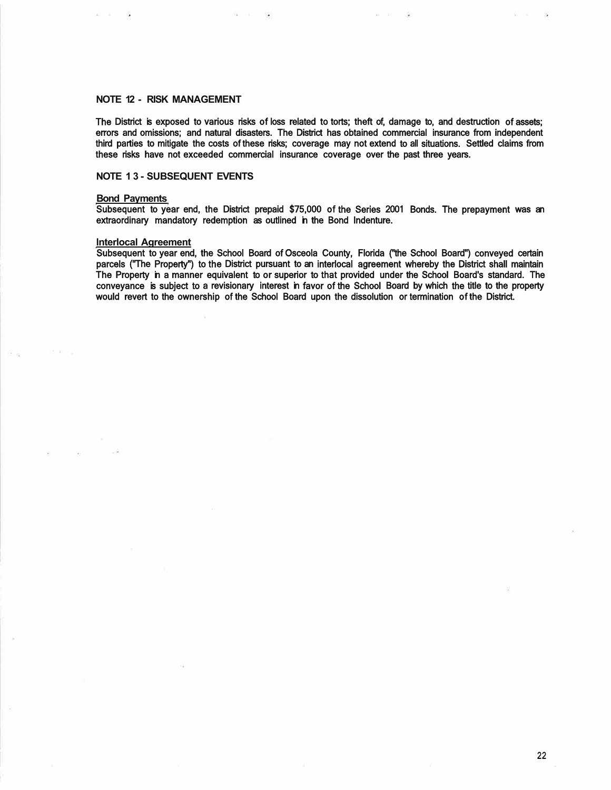## **NOTE 12 - RISK MANAGEMENT**

The District is exposed to various risks of loss related to torts; theft of, damage to, and destruction of assets; errors and omissions; and natural disasters. The District has obtained commercial insurance from independent third parties to mitigate the costs of these risks; coverage may not extend to all situations. Settled claims from these risks have not exceeded commercial insurance coverage over the past three years.

## **NOTE 13- SUBSEQUENT EVENTS**

#### **Bond Payments**

Subsequent to year end, the District prepaid \$75,000 of the Series 2001 Bonds. The prepayment was an extraordinary mandatory redemption as outlined in the Bond Indenture.

### **lnterlocal Agreement**

Subsequent to year end, the School Board of Osceola County, Florida ("the School Board") conveyed certain parcels ("The Property") to the District pursuant to an interlocal agreement whereby the District shall maintain The Property in a manner equivalent to or superior to that provided under the School Board's standard. The conveyance is subject to a revisionary interest in favor of the School Board by which the title to the property would revert to the ownership of the School Board upon the dissolution or termination of the District.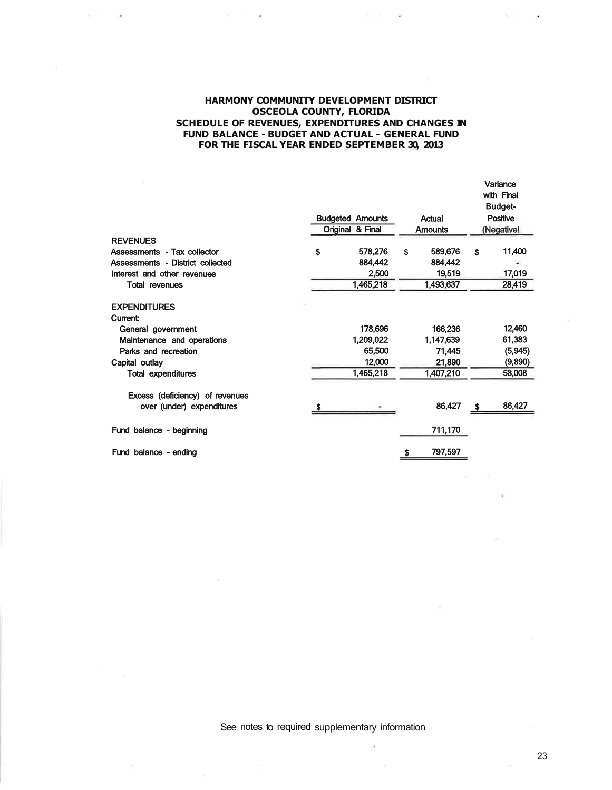# **HARMONY COMMUNITY DEVELOPMENT DISTRICT OSCEOLA COUNTY, FLORIDA SCHEDULE OF REVENUES, EXPENDITURES AND CHANGES IN FUND BALANCE - BUDGET AND ACTUAL - GENERAL FUND FOR THE FISCAL YEAR ENDED SEPTEMBER 30, 2013**

.

 $\overline{\mathbf{z}}$ 

|                                  |                         |          |                |     | Variance<br>with Final |  |
|----------------------------------|-------------------------|----------|----------------|-----|------------------------|--|
|                                  |                         |          |                |     | <b>Budget-</b>         |  |
|                                  | <b>Budgeted Amounts</b> |          | Actual         |     | Positive               |  |
|                                  | Original & Final        |          | <b>Amounts</b> |     | (Negative!             |  |
| <b>REVENUES</b>                  |                         |          |                |     |                        |  |
| Assessments - Tax collector      | \$<br>578,276           | \$       | 589,676        | \$. | 11,400                 |  |
| Assessments - District collected | 884.442                 |          | 884,442        |     |                        |  |
| Interest and other revenues      | 2,500                   |          | 19,519         |     | 17,019                 |  |
| <b>Total revenues</b>            | 1,465,218               |          | 1,493,637      |     | 28,419                 |  |
| <b>EXPENDITURES</b>              |                         |          |                |     |                        |  |
| <b>Current:</b>                  |                         |          |                |     |                        |  |
| General government               | 178,696                 |          | 166,236        |     | 12,460                 |  |
| Maintenance and operations       | 1,209,022               |          | 1,147,639      |     | 61,383                 |  |
| Parks and recreation             | 65,500                  |          | 71,445         |     | (5, 945)               |  |
| Capital outlay                   | 12,000                  |          | 21,890         |     | (9,890)                |  |
| <b>Total expenditures</b>        | 1,465,218               |          | 1,407,210      |     | 58,008                 |  |
| Excess (deficiency) of revenues  |                         |          |                |     |                        |  |
| over (under) expenditures        |                         |          | 86,427         | -\$ | 86,427                 |  |
| Fund balance - beginning         |                         |          | 711,170        |     |                        |  |
| Fund balance - ending            |                         | <u>হ</u> | 797,597        |     |                        |  |

See notes to required supplementary information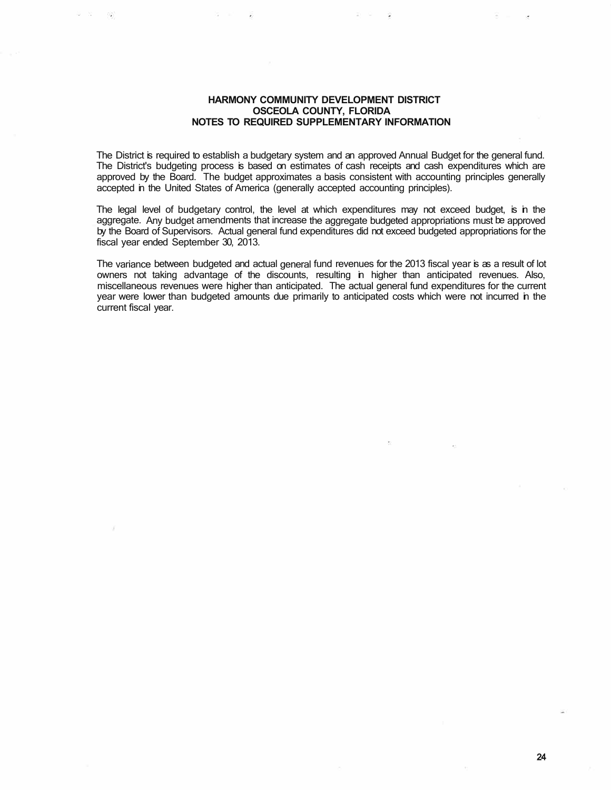# **HARMONY COMMUNITY DEVELOPMENT DISTRICT OSCEOLA COUNTY, FLORIDA NOTES TO REQUIRED SUPPLEMENTARY INFORMATION**

The District is required to establish a budgetary system and an approved Annual Budget for the general fund. The District's budgeting process is based on estimates of cash receipts and cash expenditures which are approved by the Board. The budget approximates a basis consistent with accounting principles generally accepted in the United States of America (generally accepted accounting principles).

The legal level of budgetary control, the level at which expenditures may not exceed budget, is in the aggregate. Any budget amendments that increase the aggregate budgeted appropriations must be approved by the Board of Supervisors. Actual general fund expenditures did not exceed budgeted appropriations for the fiscal year ended September 30, 2013.

The variance between budgeted and actual general fund revenues for the 2013 fiscal year is as a result of lot owners not taking advantage of the discounts, resulting in higher than anticipated revenues. Also, miscellaneous revenues were higher than anticipated. The actual general fund expenditures for the current year were lower than budgeted amounts due primarily to anticipated costs which were not incurred in the current fiscal year.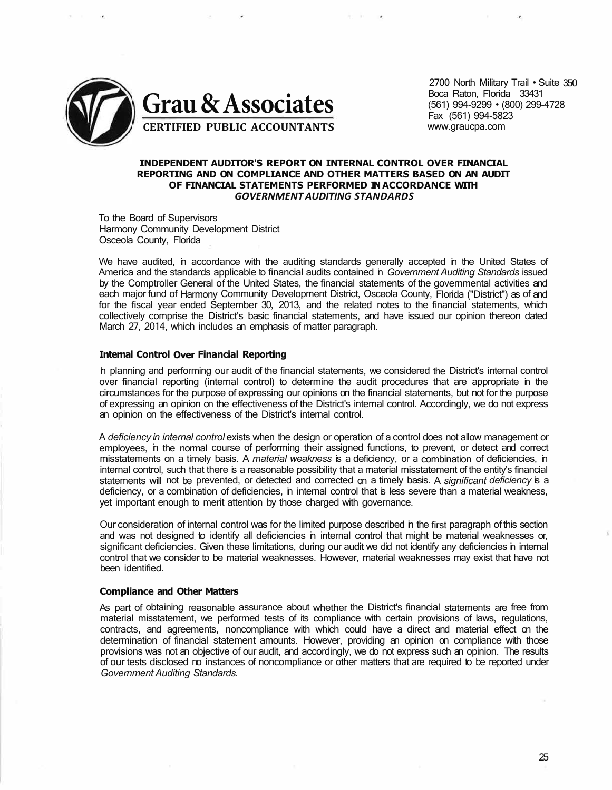

2700 North Military Trail • Suite 350 Boca Raton, Florida 33431 (561) 994-9299 • (800) 299-4728 Fax (561) 994-5823 www.graucpa.com

## **INDEPENDENT AUDITOR'S REPORT ON INTERNAL CONTROL OVER FINANCIAL REPORTING AND ON COMPLIANCE AND OTHER MATTERS BASED ON AN AUDIT OF FINANCIAL STATEMENTS PERFORMED IN ACCORDANCE WITH**  *GOVERNMENT AUDITING STANDARDS*

To the Board of Supervisors Harmony Community Development District Osceola County, Florida

We have audited, in accordance with the auditing standards generally accepted in the United States of America and the standards applicable to financial audits contained in *Government Auditing Standards* issued by the Comptroller General of the United States, the financial statements of the governmental activities and each major fund of Harmony Community Development District, Osceola County, Florida ("District") as of and for the fiscal year ended September 30, 2013, and the related notes to the financial statements, which collectively comprise the District's basic financial statements, and have issued our opinion thereon dated March 27, 2014, which includes an emphasis of matter paragraph.

### **Internal Control Over Financial Reporting**

In planning and performing our audit of the financial statements, we considered the District's internal control over financial reporting (internal control) to determine the audit procedures that are appropriate in the circumstances for the purpose of expressing our opinions on the financial statements, but not for the purpose of expressing an opinion on the effectiveness of the District's internal control. Accordingly, we do not express an opinion on the effectiveness of the District's internal control.

A *deficiency in internal control* exists when the design or operation of a control does not allow management or employees, in the normal course of performing their assigned functions, to prevent, or detect and correct misstatements on a timely basis. A *material weakness* is a deficiency, or a combination of deficiencies, in internal control, such that there is a reasonable possibility that a material misstatement of the entity's financial statements will not be prevented, or detected and corrected on a timely basis. A *significant deficiency* is a deficiency, or a combination of deficiencies, in internal control that is less severe than a material weakness, yet important enough to merit attention by those charged with governance.

Our consideration of internal control was for the limited purpose described in the first paragraph of this section and was not designed to identify all deficiencies in internal control that might be material weaknesses or, significant deficiencies. Given these limitations, during our audit we did not identify any deficiencies in internal control that we consider to be material weaknesses. However, material weaknesses may exist that have not been identified.

### **Compliance and Other Matters**

As part of obtaining reasonable assurance about whether the District's financial statements are free from material misstatement, we performed tests of its compliance with certain provisions of laws, regulations, contracts, and agreements, noncompliance with which could have a direct and material effect on the determination of financial statement amounts. However, providing an opinion on compliance with those provisions was not an objective of our audit, and accordingly, we do not express such an opinion. The results of our tests disclosed no instances of noncompliance or other matters that are required to be reported under *Government Auditing Standards.*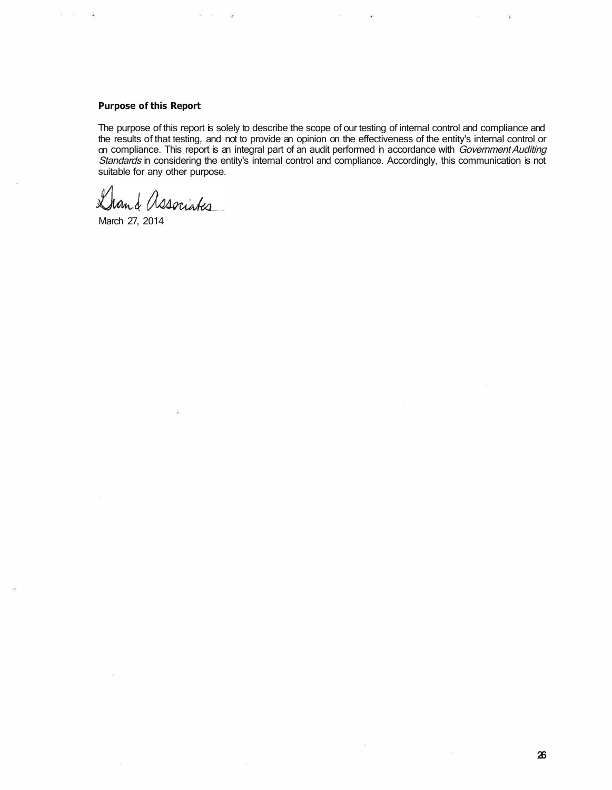# **Purpose of this Report**

w

The purpose of this report is solely to describe the scope of our testing of internal control and compliance and the results of that testing, and not to provide an opinion on the effectiveness of the entity's internal control or on compliance. This report is an integral part of an audit performed in accordance with *Government Auditing Standards* in considering the entity's internal control and compliance. Accordingly, this communication is not suitable for any other purpose.

rand Associates

March 27, 2014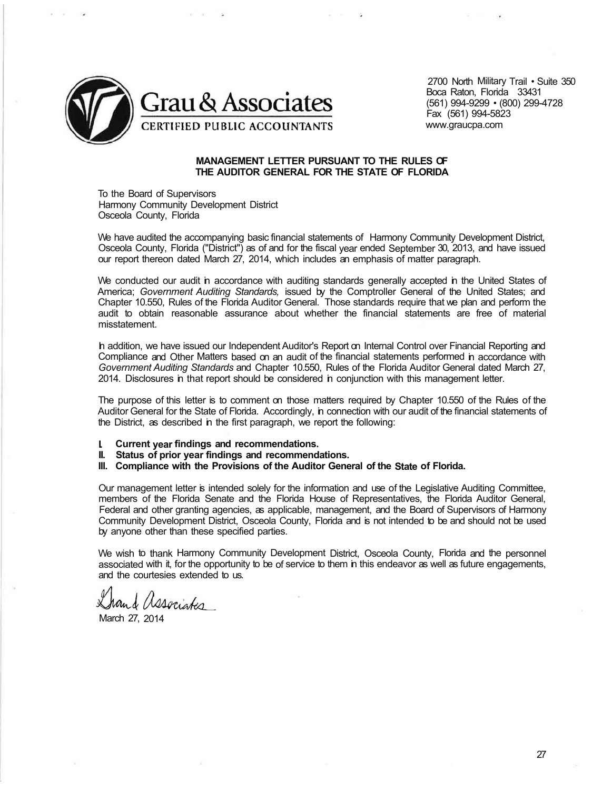

2700 North Military Trail • Suite 350 Boca Raton, Florida 33431 (561) 994-9299 • (800) 299-4728 Fax (561) 994-5823 www.graucpa.com

## **MANAGEMENT LETTER PURSUANT TO THE RULES OF THE AUDITOR GENERAL FOR THE STATE OF FLORIDA**

To the Board of Supervisors Harmony Community Development District Osceola County, Florida

We have audited the accompanying basic financial statements of Harmony Community Development District, Osceola County, Florida ("District") as of and for the fiscal year ended September 30, 2013, and have issued our report thereon dated March 27, 2014, which includes an emphasis of matter paragraph.

We conducted our audit in accordance with auditing standards generally accepted in the United States of America; *Government Auditing Standards,* issued by the Comptroller General of the United States; and Chapter 10.550, Rules of the Florida Auditor General. Those standards require that we plan and perform the audit to obtain reasonable assurance about whether the financial statements are free of material misstatement.

In addition, we have issued our Independent Auditor's Report on Internal Control over Financial Reporting and Compliance and Other Matters based on an audit of the financial statements performed in accordance with *Government Auditing Standards* and Chapter 10.550, Rules of the Florida Auditor General dated March 27, 2014. Disclosures in that report should be considered in conjunction with this management letter.

The purpose of this letter is to comment on those matters required by Chapter 10.550 of the Rules of the Auditor General for the State of Florida. Accordingly, in connection with our audit of the financial statements of the District, as described in the first paragraph, we report the following:

- **I. Current year findings and recommendations.**
- **II. Status of prior year findings and recommendations.**
- **Ill. Compliance with the Provisions of the Auditor General of the State of Florida.**

Our management letter is intended solely for the information and use of the Legislative Auditing Committee, members of the Florida Senate and the Florida House of Representatives, the Florida Auditor General, Federal and other granting agencies, as applicable, management, and the Board of Supervisors of Harmony Community Development District, Osceola County, Florida and is not intended to be and should not be used by anyone other than these specified parties.

We wish to thank Harmony Community Development District, Osceola County, Florida and the personnel associated with it, for the opportunity to be of service to them in this endeavor as well as future engagements, and the courtesies extended to us.

and Associates

March 27, 2014